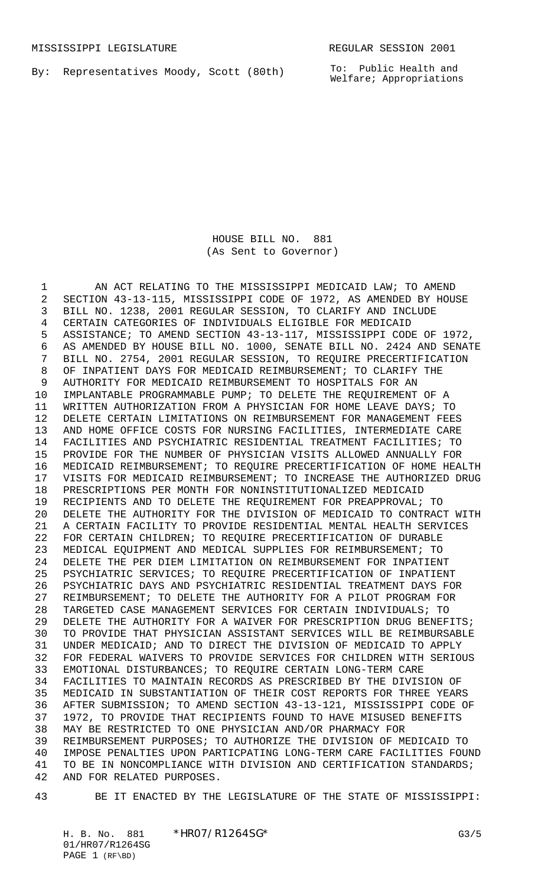By: Representatives Moody, Scott (80th)

To: Public Health and Welfare; Appropriations

## HOUSE BILL NO. 881 (As Sent to Governor)

 AN ACT RELATING TO THE MISSISSIPPI MEDICAID LAW; TO AMEND SECTION 43-13-115, MISSISSIPPI CODE OF 1972, AS AMENDED BY HOUSE BILL NO. 1238, 2001 REGULAR SESSION, TO CLARIFY AND INCLUDE CERTAIN CATEGORIES OF INDIVIDUALS ELIGIBLE FOR MEDICAID ASSISTANCE; TO AMEND SECTION 43-13-117, MISSISSIPPI CODE OF 1972, AS AMENDED BY HOUSE BILL NO. 1000, SENATE BILL NO. 2424 AND SENATE BILL NO. 2754, 2001 REGULAR SESSION, TO REQUIRE PRECERTIFICATION OF INPATIENT DAYS FOR MEDICAID REIMBURSEMENT; TO CLARIFY THE AUTHORITY FOR MEDICAID REIMBURSEMENT TO HOSPITALS FOR AN IMPLANTABLE PROGRAMMABLE PUMP; TO DELETE THE REQUIREMENT OF A WRITTEN AUTHORIZATION FROM A PHYSICIAN FOR HOME LEAVE DAYS; TO DELETE CERTAIN LIMITATIONS ON REIMBURSEMENT FOR MANAGEMENT FEES AND HOME OFFICE COSTS FOR NURSING FACILITIES, INTERMEDIATE CARE FACILITIES AND PSYCHIATRIC RESIDENTIAL TREATMENT FACILITIES; TO PROVIDE FOR THE NUMBER OF PHYSICIAN VISITS ALLOWED ANNUALLY FOR MEDICAID REIMBURSEMENT; TO REQUIRE PRECERTIFICATION OF HOME HEALTH VISITS FOR MEDICAID REIMBURSEMENT; TO INCREASE THE AUTHORIZED DRUG PRESCRIPTIONS PER MONTH FOR NONINSTITUTIONALIZED MEDICAID RECIPIENTS AND TO DELETE THE REQUIREMENT FOR PREAPPROVAL; TO DELETE THE AUTHORITY FOR THE DIVISION OF MEDICAID TO CONTRACT WITH A CERTAIN FACILITY TO PROVIDE RESIDENTIAL MENTAL HEALTH SERVICES FOR CERTAIN CHILDREN; TO REQUIRE PRECERTIFICATION OF DURABLE MEDICAL EQUIPMENT AND MEDICAL SUPPLIES FOR REIMBURSEMENT; TO DELETE THE PER DIEM LIMITATION ON REIMBURSEMENT FOR INPATIENT PSYCHIATRIC SERVICES; TO REQUIRE PRECERTIFICATION OF INPATIENT PSYCHIATRIC DAYS AND PSYCHIATRIC RESIDENTIAL TREATMENT DAYS FOR REIMBURSEMENT; TO DELETE THE AUTHORITY FOR A PILOT PROGRAM FOR TARGETED CASE MANAGEMENT SERVICES FOR CERTAIN INDIVIDUALS; TO 29 DELETE THE AUTHORITY FOR A WAIVER FOR PRESCRIPTION DRUG BENEFITS; TO PROVIDE THAT PHYSICIAN ASSISTANT SERVICES WILL BE REIMBURSABLE UNDER MEDICAID; AND TO DIRECT THE DIVISION OF MEDICAID TO APPLY FOR FEDERAL WAIVERS TO PROVIDE SERVICES FOR CHILDREN WITH SERIOUS EMOTIONAL DISTURBANCES; TO REQUIRE CERTAIN LONG-TERM CARE FACILITIES TO MAINTAIN RECORDS AS PRESCRIBED BY THE DIVISION OF MEDICAID IN SUBSTANTIATION OF THEIR COST REPORTS FOR THREE YEARS AFTER SUBMISSION; TO AMEND SECTION 43-13-121, MISSISSIPPI CODE OF 1972, TO PROVIDE THAT RECIPIENTS FOUND TO HAVE MISUSED BENEFITS MAY BE RESTRICTED TO ONE PHYSICIAN AND/OR PHARMACY FOR REIMBURSEMENT PURPOSES; TO AUTHORIZE THE DIVISION OF MEDICAID TO IMPOSE PENALTIES UPON PARTICPATING LONG-TERM CARE FACILITIES FOUND 41 TO BE IN NONCOMPLIANCE WITH DIVISION AND CERTIFICATION STANDARDS; AND FOR RELATED PURPOSES.

BE IT ENACTED BY THE LEGISLATURE OF THE STATE OF MISSISSIPPI: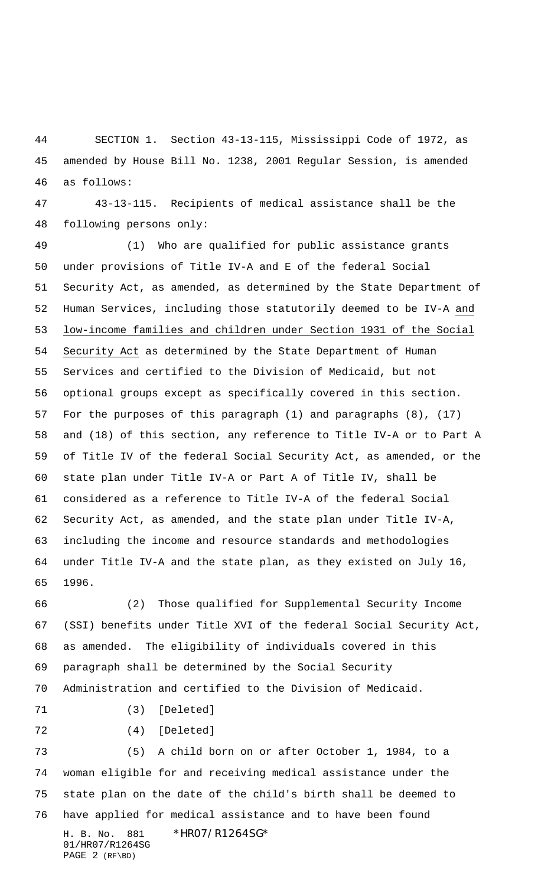SECTION 1. Section 43-13-115, Mississippi Code of 1972, as amended by House Bill No. 1238, 2001 Regular Session, is amended as follows:

 43-13-115. Recipients of medical assistance shall be the following persons only:

 (1) Who are qualified for public assistance grants under provisions of Title IV-A and E of the federal Social Security Act, as amended, as determined by the State Department of Human Services, including those statutorily deemed to be IV-A and low-income families and children under Section 1931 of the Social Security Act as determined by the State Department of Human Services and certified to the Division of Medicaid, but not optional groups except as specifically covered in this section. For the purposes of this paragraph (1) and paragraphs (8), (17) and (18) of this section, any reference to Title IV-A or to Part A of Title IV of the federal Social Security Act, as amended, or the state plan under Title IV-A or Part A of Title IV, shall be considered as a reference to Title IV-A of the federal Social Security Act, as amended, and the state plan under Title IV-A, including the income and resource standards and methodologies under Title IV-A and the state plan, as they existed on July 16, 1996.

 (2) Those qualified for Supplemental Security Income (SSI) benefits under Title XVI of the federal Social Security Act, as amended. The eligibility of individuals covered in this paragraph shall be determined by the Social Security Administration and certified to the Division of Medicaid.

(3) [Deleted]

(4) [Deleted]

H. B. No. 881 \*HR07/R1264SG\* 01/HR07/R1264SG PAGE 2 (RF\BD) (5) A child born on or after October 1, 1984, to a woman eligible for and receiving medical assistance under the state plan on the date of the child's birth shall be deemed to have applied for medical assistance and to have been found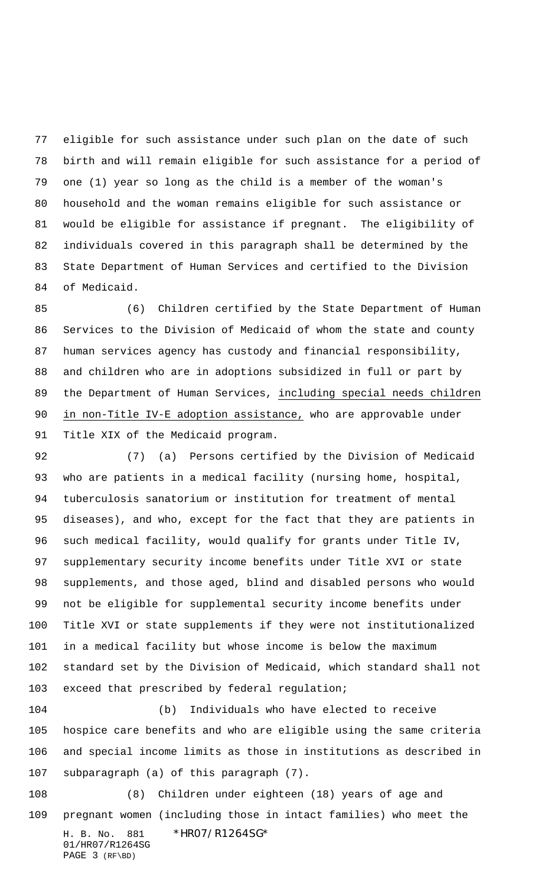eligible for such assistance under such plan on the date of such birth and will remain eligible for such assistance for a period of one (1) year so long as the child is a member of the woman's household and the woman remains eligible for such assistance or would be eligible for assistance if pregnant. The eligibility of individuals covered in this paragraph shall be determined by the State Department of Human Services and certified to the Division of Medicaid.

 (6) Children certified by the State Department of Human Services to the Division of Medicaid of whom the state and county human services agency has custody and financial responsibility, and children who are in adoptions subsidized in full or part by the Department of Human Services, including special needs children in non-Title IV-E adoption assistance, who are approvable under Title XIX of the Medicaid program.

 (7) (a) Persons certified by the Division of Medicaid who are patients in a medical facility (nursing home, hospital, tuberculosis sanatorium or institution for treatment of mental diseases), and who, except for the fact that they are patients in such medical facility, would qualify for grants under Title IV, supplementary security income benefits under Title XVI or state supplements, and those aged, blind and disabled persons who would not be eligible for supplemental security income benefits under Title XVI or state supplements if they were not institutionalized in a medical facility but whose income is below the maximum standard set by the Division of Medicaid, which standard shall not exceed that prescribed by federal regulation;

 (b) Individuals who have elected to receive hospice care benefits and who are eligible using the same criteria and special income limits as those in institutions as described in subparagraph (a) of this paragraph (7).

H. B. No. 881 \*HR07/R1264SG\* 01/HR07/R1264SG PAGE 3 (RF\BD) (8) Children under eighteen (18) years of age and pregnant women (including those in intact families) who meet the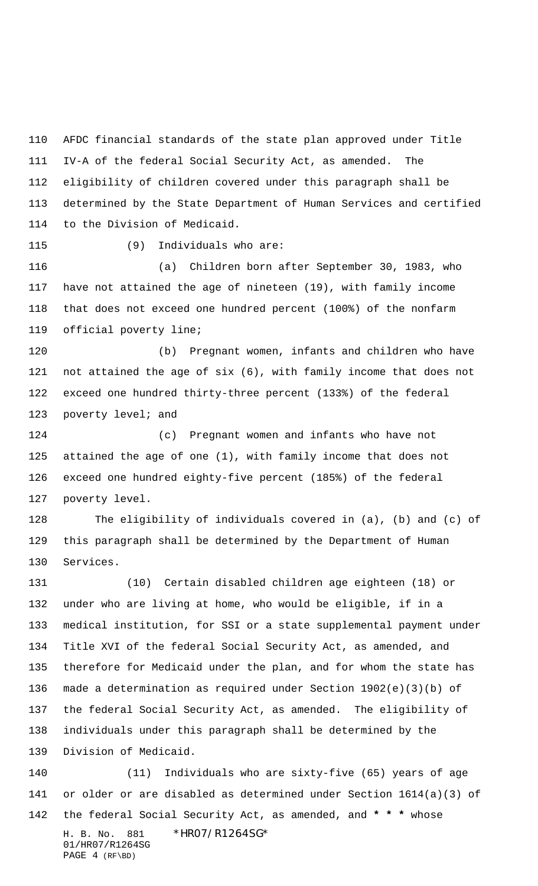AFDC financial standards of the state plan approved under Title IV-A of the federal Social Security Act, as amended. The eligibility of children covered under this paragraph shall be determined by the State Department of Human Services and certified to the Division of Medicaid.

(9) Individuals who are:

 (a) Children born after September 30, 1983, who have not attained the age of nineteen (19), with family income that does not exceed one hundred percent (100%) of the nonfarm official poverty line;

 (b) Pregnant women, infants and children who have not attained the age of six (6), with family income that does not exceed one hundred thirty-three percent (133%) of the federal 123 poverty level; and

 (c) Pregnant women and infants who have not attained the age of one (1), with family income that does not exceed one hundred eighty-five percent (185%) of the federal poverty level.

 The eligibility of individuals covered in (a), (b) and (c) of this paragraph shall be determined by the Department of Human Services.

 (10) Certain disabled children age eighteen (18) or under who are living at home, who would be eligible, if in a medical institution, for SSI or a state supplemental payment under Title XVI of the federal Social Security Act, as amended, and therefore for Medicaid under the plan, and for whom the state has made a determination as required under Section 1902(e)(3)(b) of the federal Social Security Act, as amended. The eligibility of individuals under this paragraph shall be determined by the Division of Medicaid.

H. B. No. 881 \*HR07/R1264SG\* 01/HR07/R1264SG PAGE 4 (RF\BD) (11) Individuals who are sixty-five (65) years of age or older or are disabled as determined under Section 1614(a)(3) of the federal Social Security Act, as amended, and **\* \* \*** whose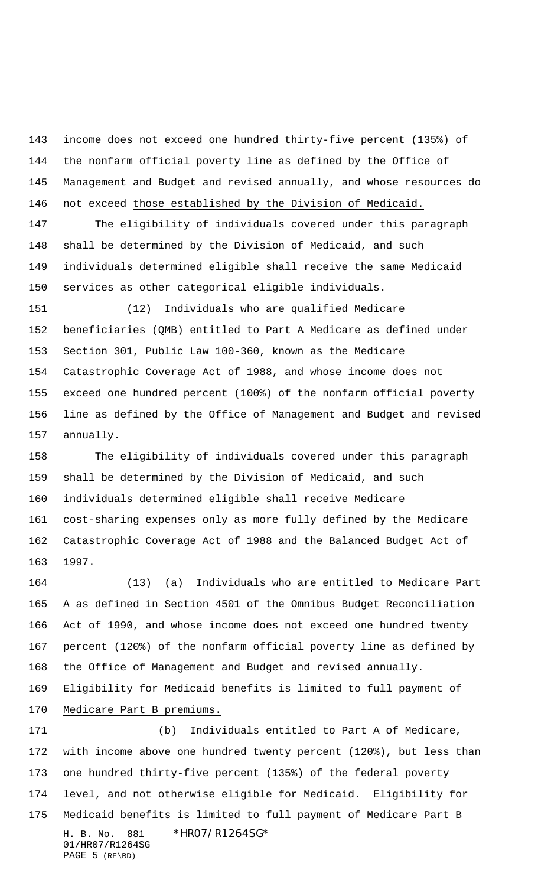income does not exceed one hundred thirty-five percent (135%) of the nonfarm official poverty line as defined by the Office of Management and Budget and revised annually, and whose resources do 146 not exceed those established by the Division of Medicaid.

 The eligibility of individuals covered under this paragraph shall be determined by the Division of Medicaid, and such individuals determined eligible shall receive the same Medicaid services as other categorical eligible individuals.

 (12) Individuals who are qualified Medicare beneficiaries (QMB) entitled to Part A Medicare as defined under Section 301, Public Law 100-360, known as the Medicare Catastrophic Coverage Act of 1988, and whose income does not exceed one hundred percent (100%) of the nonfarm official poverty line as defined by the Office of Management and Budget and revised annually.

 The eligibility of individuals covered under this paragraph shall be determined by the Division of Medicaid, and such individuals determined eligible shall receive Medicare cost-sharing expenses only as more fully defined by the Medicare Catastrophic Coverage Act of 1988 and the Balanced Budget Act of 1997.

 (13) (a) Individuals who are entitled to Medicare Part A as defined in Section 4501 of the Omnibus Budget Reconciliation Act of 1990, and whose income does not exceed one hundred twenty percent (120%) of the nonfarm official poverty line as defined by the Office of Management and Budget and revised annually. Eligibility for Medicaid benefits is limited to full payment of Medicare Part B premiums.

H. B. No. 881 \*HR07/R1264SG\* 01/HR07/R1264SG PAGE 5 (RF\BD) (b) Individuals entitled to Part A of Medicare, with income above one hundred twenty percent (120%), but less than one hundred thirty-five percent (135%) of the federal poverty level, and not otherwise eligible for Medicaid. Eligibility for Medicaid benefits is limited to full payment of Medicare Part B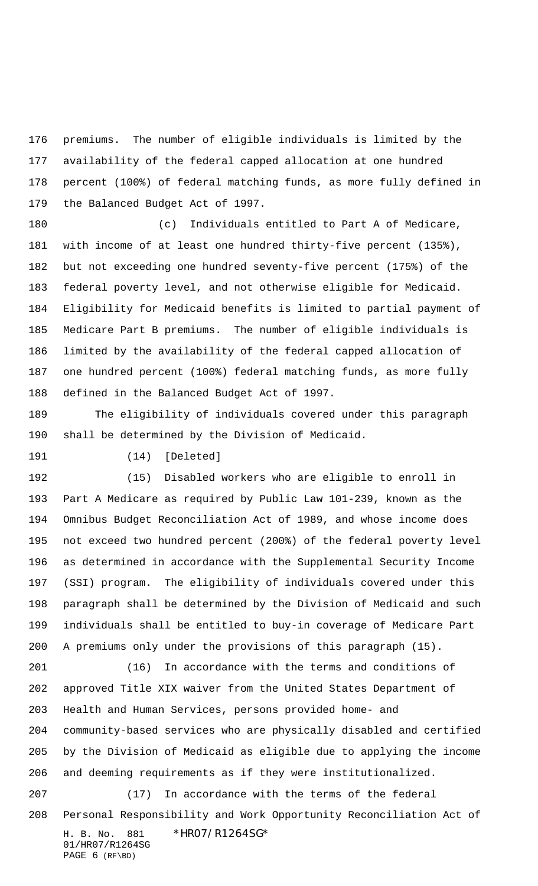premiums. The number of eligible individuals is limited by the availability of the federal capped allocation at one hundred percent (100%) of federal matching funds, as more fully defined in the Balanced Budget Act of 1997.

 (c) Individuals entitled to Part A of Medicare, with income of at least one hundred thirty-five percent (135%), but not exceeding one hundred seventy-five percent (175%) of the federal poverty level, and not otherwise eligible for Medicaid. Eligibility for Medicaid benefits is limited to partial payment of Medicare Part B premiums. The number of eligible individuals is limited by the availability of the federal capped allocation of one hundred percent (100%) federal matching funds, as more fully defined in the Balanced Budget Act of 1997.

 The eligibility of individuals covered under this paragraph shall be determined by the Division of Medicaid.

PAGE 6 (RF\BD)

(14) [Deleted]

 (15) Disabled workers who are eligible to enroll in Part A Medicare as required by Public Law 101-239, known as the Omnibus Budget Reconciliation Act of 1989, and whose income does not exceed two hundred percent (200%) of the federal poverty level as determined in accordance with the Supplemental Security Income (SSI) program. The eligibility of individuals covered under this paragraph shall be determined by the Division of Medicaid and such individuals shall be entitled to buy-in coverage of Medicare Part A premiums only under the provisions of this paragraph (15).

H. B. No. 881 \*HR07/R1264SG\* 01/HR07/R1264SG (16) In accordance with the terms and conditions of approved Title XIX waiver from the United States Department of Health and Human Services, persons provided home- and community-based services who are physically disabled and certified by the Division of Medicaid as eligible due to applying the income and deeming requirements as if they were institutionalized. (17) In accordance with the terms of the federal Personal Responsibility and Work Opportunity Reconciliation Act of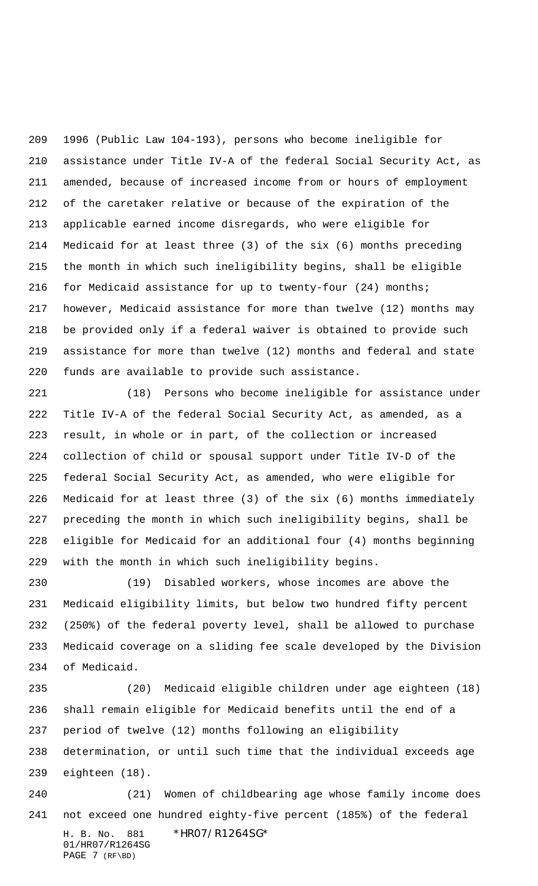1996 (Public Law 104-193), persons who become ineligible for assistance under Title IV-A of the federal Social Security Act, as amended, because of increased income from or hours of employment of the caretaker relative or because of the expiration of the applicable earned income disregards, who were eligible for Medicaid for at least three (3) of the six (6) months preceding the month in which such ineligibility begins, shall be eligible for Medicaid assistance for up to twenty-four (24) months; however, Medicaid assistance for more than twelve (12) months may be provided only if a federal waiver is obtained to provide such assistance for more than twelve (12) months and federal and state funds are available to provide such assistance.

 (18) Persons who become ineligible for assistance under Title IV-A of the federal Social Security Act, as amended, as a result, in whole or in part, of the collection or increased collection of child or spousal support under Title IV-D of the federal Social Security Act, as amended, who were eligible for Medicaid for at least three (3) of the six (6) months immediately preceding the month in which such ineligibility begins, shall be eligible for Medicaid for an additional four (4) months beginning with the month in which such ineligibility begins.

 (19) Disabled workers, whose incomes are above the Medicaid eligibility limits, but below two hundred fifty percent (250%) of the federal poverty level, shall be allowed to purchase Medicaid coverage on a sliding fee scale developed by the Division of Medicaid.

H. B. No. 881 \*HR07/R1264SG\* (20) Medicaid eligible children under age eighteen (18) shall remain eligible for Medicaid benefits until the end of a period of twelve (12) months following an eligibility determination, or until such time that the individual exceeds age eighteen (18). (21) Women of childbearing age whose family income does not exceed one hundred eighty-five percent (185%) of the federal

01/HR07/R1264SG PAGE 7 (RF\BD)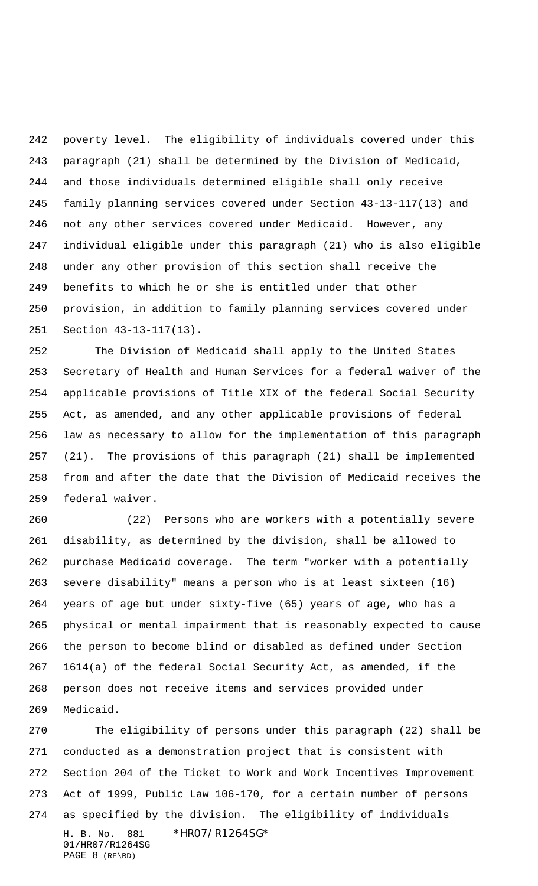poverty level. The eligibility of individuals covered under this paragraph (21) shall be determined by the Division of Medicaid, and those individuals determined eligible shall only receive family planning services covered under Section 43-13-117(13) and not any other services covered under Medicaid. However, any individual eligible under this paragraph (21) who is also eligible under any other provision of this section shall receive the benefits to which he or she is entitled under that other provision, in addition to family planning services covered under Section 43-13-117(13).

 The Division of Medicaid shall apply to the United States Secretary of Health and Human Services for a federal waiver of the applicable provisions of Title XIX of the federal Social Security Act, as amended, and any other applicable provisions of federal law as necessary to allow for the implementation of this paragraph (21). The provisions of this paragraph (21) shall be implemented from and after the date that the Division of Medicaid receives the federal waiver.

 (22) Persons who are workers with a potentially severe disability, as determined by the division, shall be allowed to purchase Medicaid coverage. The term "worker with a potentially severe disability" means a person who is at least sixteen (16) years of age but under sixty-five (65) years of age, who has a physical or mental impairment that is reasonably expected to cause the person to become blind or disabled as defined under Section 1614(a) of the federal Social Security Act, as amended, if the person does not receive items and services provided under Medicaid.

H. B. No. 881 \*HR07/R1264SG\* 01/HR07/R1264SG PAGE 8 (RF\BD) The eligibility of persons under this paragraph (22) shall be conducted as a demonstration project that is consistent with Section 204 of the Ticket to Work and Work Incentives Improvement Act of 1999, Public Law 106-170, for a certain number of persons as specified by the division. The eligibility of individuals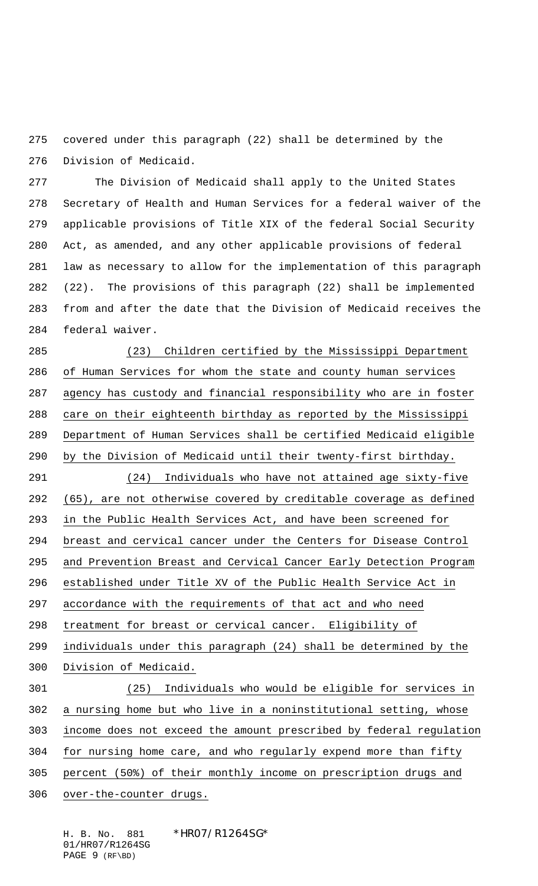covered under this paragraph (22) shall be determined by the Division of Medicaid.

 The Division of Medicaid shall apply to the United States Secretary of Health and Human Services for a federal waiver of the applicable provisions of Title XIX of the federal Social Security Act, as amended, and any other applicable provisions of federal law as necessary to allow for the implementation of this paragraph (22). The provisions of this paragraph (22) shall be implemented from and after the date that the Division of Medicaid receives the federal waiver.

 (23) Children certified by the Mississippi Department of Human Services for whom the state and county human services agency has custody and financial responsibility who are in foster care on their eighteenth birthday as reported by the Mississippi Department of Human Services shall be certified Medicaid eligible by the Division of Medicaid until their twenty-first birthday. (24) Individuals who have not attained age sixty-five (65), are not otherwise covered by creditable coverage as defined in the Public Health Services Act, and have been screened for

breast and cervical cancer under the Centers for Disease Control

and Prevention Breast and Cervical Cancer Early Detection Program

established under Title XV of the Public Health Service Act in

accordance with the requirements of that act and who need

treatment for breast or cervical cancer. Eligibility of

individuals under this paragraph (24) shall be determined by the

- Division of Medicaid.
- (25) Individuals who would be eligible for services in

a nursing home but who live in a noninstitutional setting, whose

income does not exceed the amount prescribed by federal regulation

for nursing home care, and who regularly expend more than fifty

- percent (50%) of their monthly income on prescription drugs and
- over-the-counter drugs.

H. B. No. 881 \*HR07/R1264SG\* 01/HR07/R1264SG PAGE 9 (RF\BD)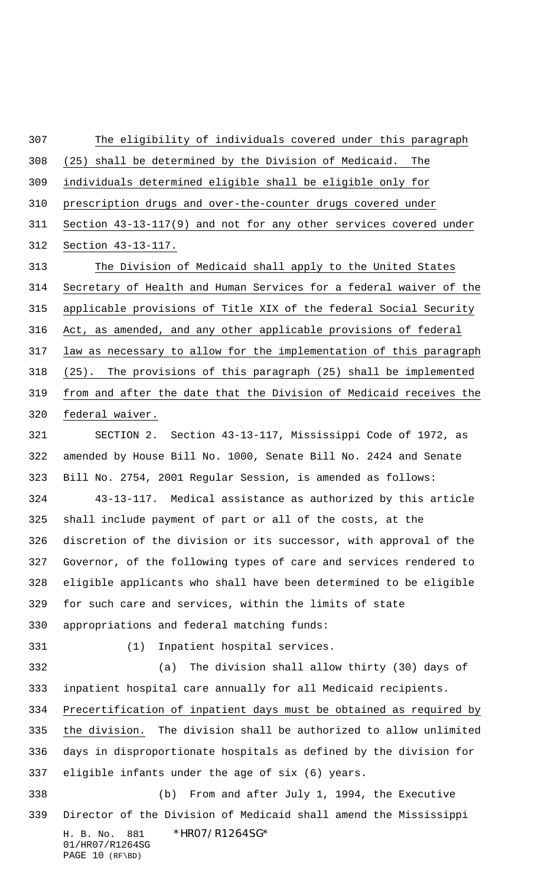H. B. No. 881 \*HR07/R1264SG\* 01/HR07/R1264SG PAGE 10 (RF\BD) The eligibility of individuals covered under this paragraph (25) shall be determined by the Division of Medicaid. The individuals determined eligible shall be eligible only for prescription drugs and over-the-counter drugs covered under Section 43-13-117(9) and not for any other services covered under Section 43-13-117. The Division of Medicaid shall apply to the United States Secretary of Health and Human Services for a federal waiver of the applicable provisions of Title XIX of the federal Social Security Act, as amended, and any other applicable provisions of federal law as necessary to allow for the implementation of this paragraph (25). The provisions of this paragraph (25) shall be implemented from and after the date that the Division of Medicaid receives the federal waiver. SECTION 2. Section 43-13-117, Mississippi Code of 1972, as amended by House Bill No. 1000, Senate Bill No. 2424 and Senate Bill No. 2754, 2001 Regular Session, is amended as follows: 43-13-117. Medical assistance as authorized by this article shall include payment of part or all of the costs, at the discretion of the division or its successor, with approval of the Governor, of the following types of care and services rendered to eligible applicants who shall have been determined to be eligible for such care and services, within the limits of state appropriations and federal matching funds: (1) Inpatient hospital services. (a) The division shall allow thirty (30) days of inpatient hospital care annually for all Medicaid recipients. Precertification of inpatient days must be obtained as required by the division. The division shall be authorized to allow unlimited days in disproportionate hospitals as defined by the division for eligible infants under the age of six (6) years. (b) From and after July 1, 1994, the Executive Director of the Division of Medicaid shall amend the Mississippi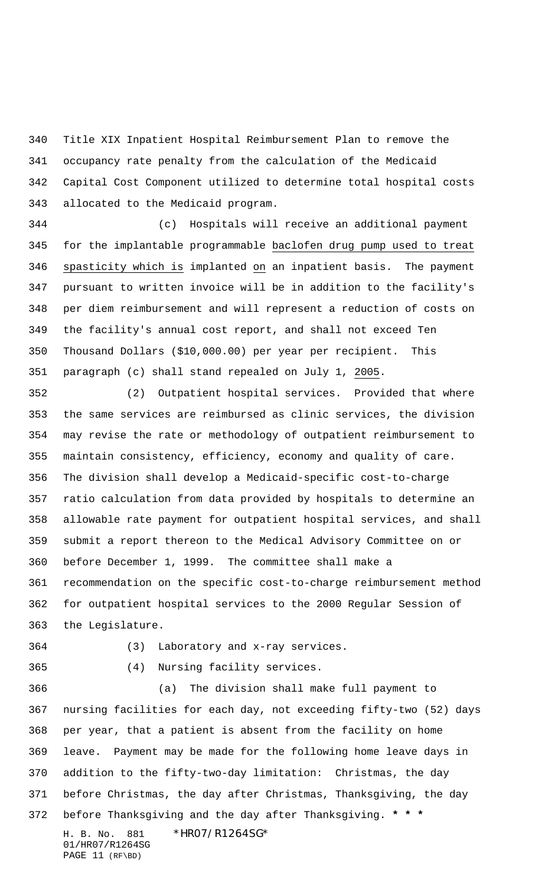Title XIX Inpatient Hospital Reimbursement Plan to remove the occupancy rate penalty from the calculation of the Medicaid Capital Cost Component utilized to determine total hospital costs allocated to the Medicaid program.

 (c) Hospitals will receive an additional payment for the implantable programmable baclofen drug pump used to treat spasticity which is implanted on an inpatient basis. The payment pursuant to written invoice will be in addition to the facility's per diem reimbursement and will represent a reduction of costs on the facility's annual cost report, and shall not exceed Ten Thousand Dollars (\$10,000.00) per year per recipient. This paragraph (c) shall stand repealed on July 1, 2005.

 (2) Outpatient hospital services. Provided that where the same services are reimbursed as clinic services, the division may revise the rate or methodology of outpatient reimbursement to maintain consistency, efficiency, economy and quality of care. The division shall develop a Medicaid-specific cost-to-charge ratio calculation from data provided by hospitals to determine an allowable rate payment for outpatient hospital services, and shall submit a report thereon to the Medical Advisory Committee on or before December 1, 1999. The committee shall make a recommendation on the specific cost-to-charge reimbursement method for outpatient hospital services to the 2000 Regular Session of the Legislature.

(3) Laboratory and x-ray services.

(4) Nursing facility services.

H. B. No. 881 \*HR07/R1264SG\* (a) The division shall make full payment to nursing facilities for each day, not exceeding fifty-two (52) days per year, that a patient is absent from the facility on home leave. Payment may be made for the following home leave days in addition to the fifty-two-day limitation: Christmas, the day before Christmas, the day after Christmas, Thanksgiving, the day before Thanksgiving and the day after Thanksgiving. **\* \* \***

01/HR07/R1264SG PAGE 11 (RF\BD)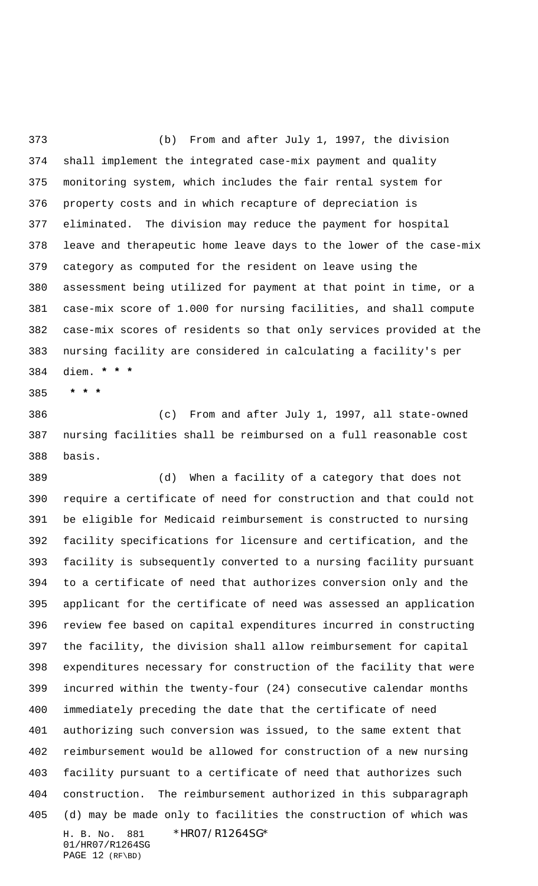(b) From and after July 1, 1997, the division shall implement the integrated case-mix payment and quality monitoring system, which includes the fair rental system for property costs and in which recapture of depreciation is eliminated. The division may reduce the payment for hospital leave and therapeutic home leave days to the lower of the case-mix category as computed for the resident on leave using the assessment being utilized for payment at that point in time, or a case-mix score of 1.000 for nursing facilities, and shall compute case-mix scores of residents so that only services provided at the nursing facility are considered in calculating a facility's per diem. **\* \* \***

 **\* \* \***

 (c) From and after July 1, 1997, all state-owned nursing facilities shall be reimbursed on a full reasonable cost basis.

H. B. No. 881 \*HR07/R1264SG\* 01/HR07/R1264SG (d) When a facility of a category that does not require a certificate of need for construction and that could not be eligible for Medicaid reimbursement is constructed to nursing facility specifications for licensure and certification, and the facility is subsequently converted to a nursing facility pursuant to a certificate of need that authorizes conversion only and the applicant for the certificate of need was assessed an application review fee based on capital expenditures incurred in constructing the facility, the division shall allow reimbursement for capital expenditures necessary for construction of the facility that were incurred within the twenty-four (24) consecutive calendar months immediately preceding the date that the certificate of need authorizing such conversion was issued, to the same extent that reimbursement would be allowed for construction of a new nursing facility pursuant to a certificate of need that authorizes such construction. The reimbursement authorized in this subparagraph (d) may be made only to facilities the construction of which was

PAGE 12 (RF\BD)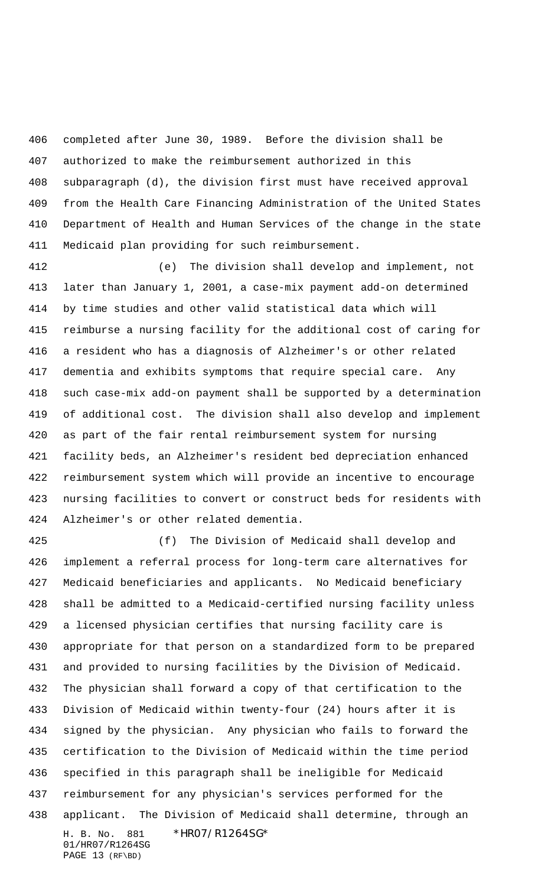completed after June 30, 1989. Before the division shall be authorized to make the reimbursement authorized in this subparagraph (d), the division first must have received approval from the Health Care Financing Administration of the United States Department of Health and Human Services of the change in the state Medicaid plan providing for such reimbursement.

 (e) The division shall develop and implement, not later than January 1, 2001, a case-mix payment add-on determined by time studies and other valid statistical data which will reimburse a nursing facility for the additional cost of caring for a resident who has a diagnosis of Alzheimer's or other related dementia and exhibits symptoms that require special care. Any such case-mix add-on payment shall be supported by a determination of additional cost. The division shall also develop and implement as part of the fair rental reimbursement system for nursing facility beds, an Alzheimer's resident bed depreciation enhanced reimbursement system which will provide an incentive to encourage nursing facilities to convert or construct beds for residents with Alzheimer's or other related dementia.

H. B. No. 881 \*HR07/R1264SG\* 01/HR07/R1264SG (f) The Division of Medicaid shall develop and implement a referral process for long-term care alternatives for Medicaid beneficiaries and applicants. No Medicaid beneficiary shall be admitted to a Medicaid-certified nursing facility unless a licensed physician certifies that nursing facility care is appropriate for that person on a standardized form to be prepared and provided to nursing facilities by the Division of Medicaid. The physician shall forward a copy of that certification to the Division of Medicaid within twenty-four (24) hours after it is signed by the physician. Any physician who fails to forward the certification to the Division of Medicaid within the time period specified in this paragraph shall be ineligible for Medicaid reimbursement for any physician's services performed for the applicant. The Division of Medicaid shall determine, through an

PAGE 13 (RF\BD)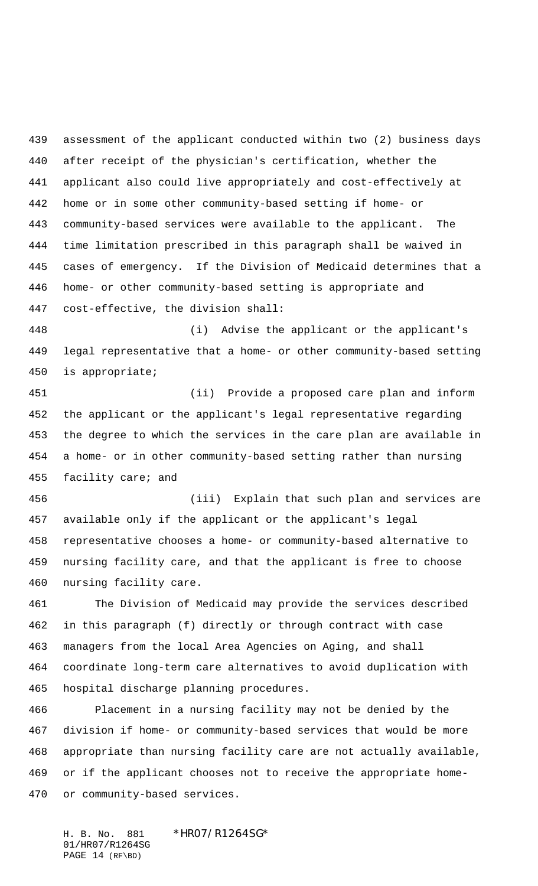assessment of the applicant conducted within two (2) business days after receipt of the physician's certification, whether the applicant also could live appropriately and cost-effectively at home or in some other community-based setting if home- or community-based services were available to the applicant. The time limitation prescribed in this paragraph shall be waived in cases of emergency. If the Division of Medicaid determines that a home- or other community-based setting is appropriate and cost-effective, the division shall:

 (i) Advise the applicant or the applicant's legal representative that a home- or other community-based setting is appropriate;

 (ii) Provide a proposed care plan and inform the applicant or the applicant's legal representative regarding the degree to which the services in the care plan are available in a home- or in other community-based setting rather than nursing 455 facility care; and

 (iii) Explain that such plan and services are available only if the applicant or the applicant's legal representative chooses a home- or community-based alternative to nursing facility care, and that the applicant is free to choose nursing facility care.

 The Division of Medicaid may provide the services described in this paragraph (f) directly or through contract with case managers from the local Area Agencies on Aging, and shall coordinate long-term care alternatives to avoid duplication with hospital discharge planning procedures.

 Placement in a nursing facility may not be denied by the division if home- or community-based services that would be more appropriate than nursing facility care are not actually available, or if the applicant chooses not to receive the appropriate home-or community-based services.

H. B. No. 881 \*HR07/R1264SG\* 01/HR07/R1264SG PAGE 14 (RF\BD)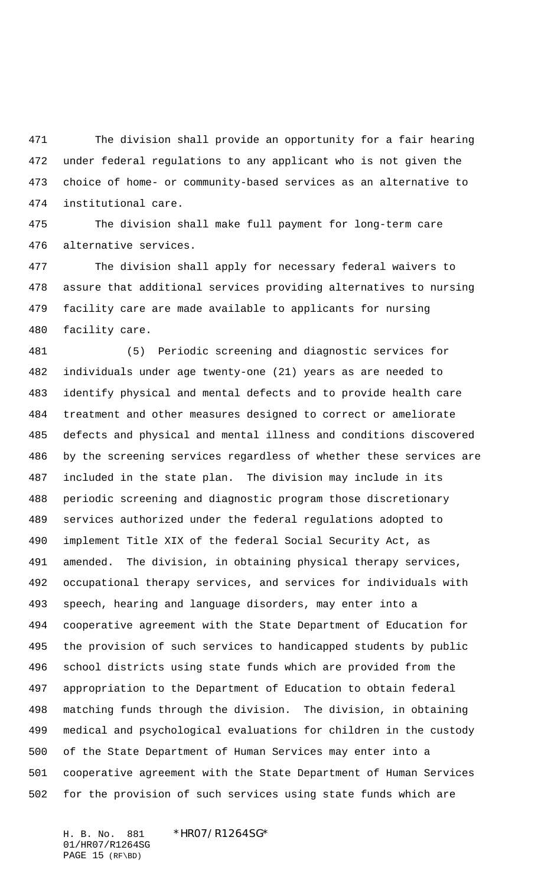The division shall provide an opportunity for a fair hearing under federal regulations to any applicant who is not given the choice of home- or community-based services as an alternative to institutional care.

 The division shall make full payment for long-term care alternative services.

 The division shall apply for necessary federal waivers to assure that additional services providing alternatives to nursing facility care are made available to applicants for nursing facility care.

 (5) Periodic screening and diagnostic services for individuals under age twenty-one (21) years as are needed to identify physical and mental defects and to provide health care treatment and other measures designed to correct or ameliorate defects and physical and mental illness and conditions discovered by the screening services regardless of whether these services are included in the state plan. The division may include in its periodic screening and diagnostic program those discretionary services authorized under the federal regulations adopted to implement Title XIX of the federal Social Security Act, as amended. The division, in obtaining physical therapy services, occupational therapy services, and services for individuals with speech, hearing and language disorders, may enter into a cooperative agreement with the State Department of Education for the provision of such services to handicapped students by public school districts using state funds which are provided from the appropriation to the Department of Education to obtain federal matching funds through the division. The division, in obtaining medical and psychological evaluations for children in the custody of the State Department of Human Services may enter into a cooperative agreement with the State Department of Human Services for the provision of such services using state funds which are

H. B. No. 881 \*HR07/R1264SG\* 01/HR07/R1264SG PAGE 15 (RF\BD)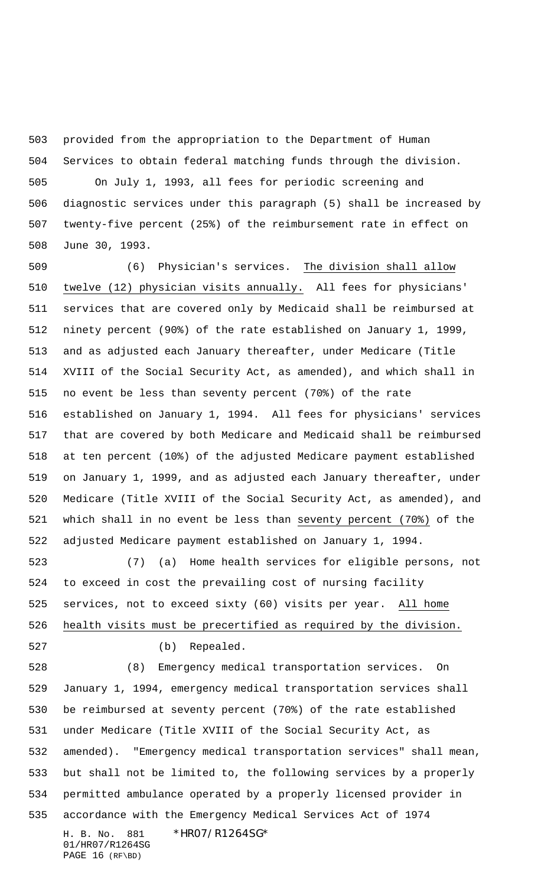provided from the appropriation to the Department of Human Services to obtain federal matching funds through the division.

 On July 1, 1993, all fees for periodic screening and diagnostic services under this paragraph (5) shall be increased by twenty-five percent (25%) of the reimbursement rate in effect on June 30, 1993.

 (6) Physician's services. The division shall allow twelve (12) physician visits annually. All fees for physicians' services that are covered only by Medicaid shall be reimbursed at ninety percent (90%) of the rate established on January 1, 1999, and as adjusted each January thereafter, under Medicare (Title XVIII of the Social Security Act, as amended), and which shall in no event be less than seventy percent (70%) of the rate established on January 1, 1994. All fees for physicians' services that are covered by both Medicare and Medicaid shall be reimbursed at ten percent (10%) of the adjusted Medicare payment established on January 1, 1999, and as adjusted each January thereafter, under Medicare (Title XVIII of the Social Security Act, as amended), and which shall in no event be less than seventy percent (70%) of the adjusted Medicare payment established on January 1, 1994.

 (7) (a) Home health services for eligible persons, not to exceed in cost the prevailing cost of nursing facility services, not to exceed sixty (60) visits per year. All home health visits must be precertified as required by the division.

(b) Repealed.

H. B. No. 881 \*HR07/R1264SG\* 01/HR07/R1264SG (8) Emergency medical transportation services. On January 1, 1994, emergency medical transportation services shall be reimbursed at seventy percent (70%) of the rate established under Medicare (Title XVIII of the Social Security Act, as amended). "Emergency medical transportation services" shall mean, but shall not be limited to, the following services by a properly permitted ambulance operated by a properly licensed provider in accordance with the Emergency Medical Services Act of 1974

PAGE 16 (RF\BD)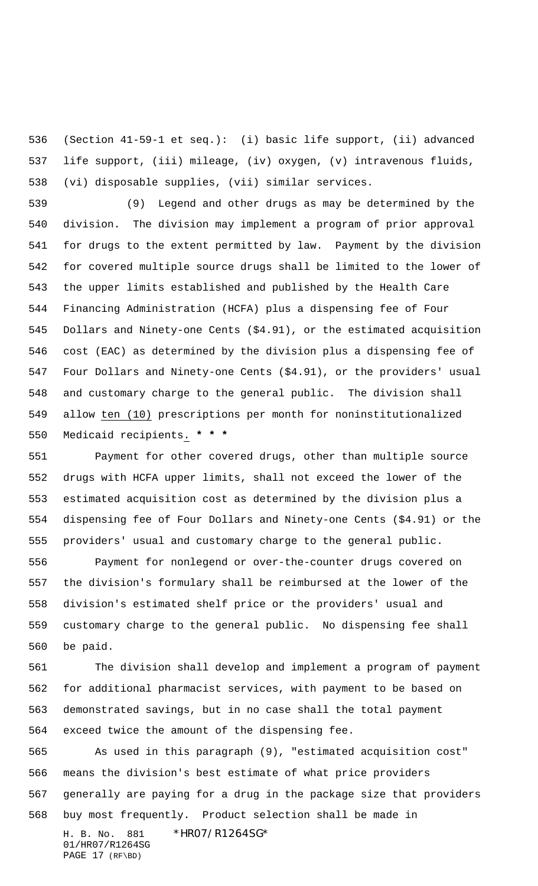(Section 41-59-1 et seq.): (i) basic life support, (ii) advanced life support, (iii) mileage, (iv) oxygen, (v) intravenous fluids, (vi) disposable supplies, (vii) similar services.

 (9) Legend and other drugs as may be determined by the division. The division may implement a program of prior approval for drugs to the extent permitted by law. Payment by the division for covered multiple source drugs shall be limited to the lower of the upper limits established and published by the Health Care Financing Administration (HCFA) plus a dispensing fee of Four Dollars and Ninety-one Cents (\$4.91), or the estimated acquisition cost (EAC) as determined by the division plus a dispensing fee of Four Dollars and Ninety-one Cents (\$4.91), or the providers' usual and customary charge to the general public. The division shall allow ten (10) prescriptions per month for noninstitutionalized Medicaid recipients. **\* \* \***

 Payment for other covered drugs, other than multiple source drugs with HCFA upper limits, shall not exceed the lower of the estimated acquisition cost as determined by the division plus a dispensing fee of Four Dollars and Ninety-one Cents (\$4.91) or the providers' usual and customary charge to the general public.

 Payment for nonlegend or over-the-counter drugs covered on the division's formulary shall be reimbursed at the lower of the division's estimated shelf price or the providers' usual and customary charge to the general public. No dispensing fee shall be paid.

 The division shall develop and implement a program of payment for additional pharmacist services, with payment to be based on demonstrated savings, but in no case shall the total payment exceed twice the amount of the dispensing fee.

H. B. No. 881 \*HR07/R1264SG\* 01/HR07/R1264SG PAGE 17 (RF\BD) As used in this paragraph (9), "estimated acquisition cost" means the division's best estimate of what price providers generally are paying for a drug in the package size that providers buy most frequently. Product selection shall be made in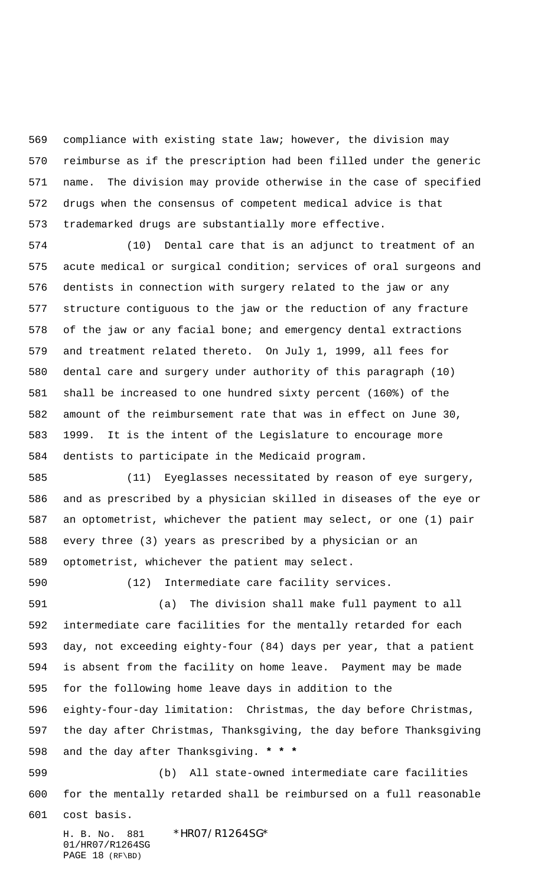compliance with existing state law; however, the division may reimburse as if the prescription had been filled under the generic name. The division may provide otherwise in the case of specified drugs when the consensus of competent medical advice is that trademarked drugs are substantially more effective.

 (10) Dental care that is an adjunct to treatment of an acute medical or surgical condition; services of oral surgeons and dentists in connection with surgery related to the jaw or any structure contiguous to the jaw or the reduction of any fracture of the jaw or any facial bone; and emergency dental extractions and treatment related thereto. On July 1, 1999, all fees for dental care and surgery under authority of this paragraph (10) shall be increased to one hundred sixty percent (160%) of the amount of the reimbursement rate that was in effect on June 30, 1999. It is the intent of the Legislature to encourage more dentists to participate in the Medicaid program.

 (11) Eyeglasses necessitated by reason of eye surgery, and as prescribed by a physician skilled in diseases of the eye or an optometrist, whichever the patient may select, or one (1) pair every three (3) years as prescribed by a physician or an optometrist, whichever the patient may select.

(12) Intermediate care facility services.

 (a) The division shall make full payment to all intermediate care facilities for the mentally retarded for each day, not exceeding eighty-four (84) days per year, that a patient is absent from the facility on home leave. Payment may be made for the following home leave days in addition to the eighty-four-day limitation: Christmas, the day before Christmas, the day after Christmas, Thanksgiving, the day before Thanksgiving and the day after Thanksgiving. **\* \* \***

 (b) All state-owned intermediate care facilities for the mentally retarded shall be reimbursed on a full reasonable

cost basis.

H. B. No. 881 \*HR07/R1264SG\* 01/HR07/R1264SG PAGE 18 (RF\BD)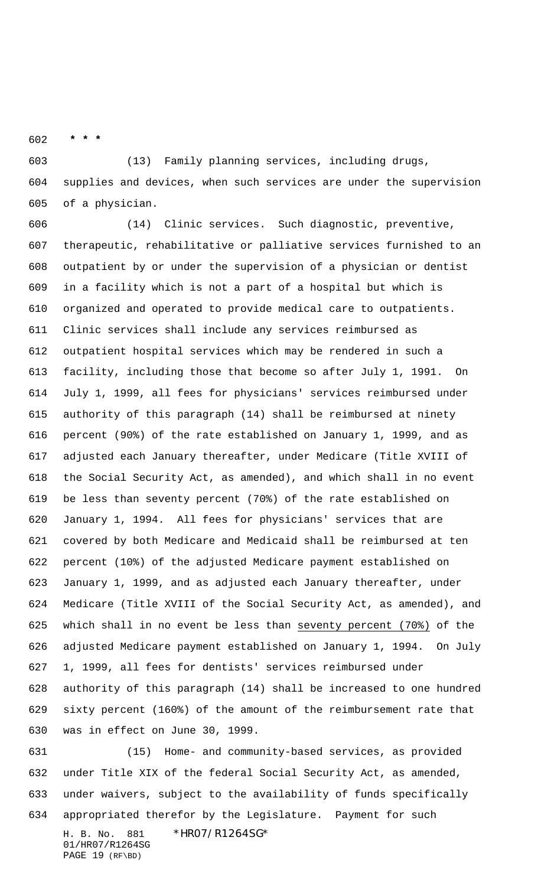**\* \* \***

 (13) Family planning services, including drugs, supplies and devices, when such services are under the supervision of a physician.

 (14) Clinic services. Such diagnostic, preventive, therapeutic, rehabilitative or palliative services furnished to an outpatient by or under the supervision of a physician or dentist in a facility which is not a part of a hospital but which is organized and operated to provide medical care to outpatients. Clinic services shall include any services reimbursed as outpatient hospital services which may be rendered in such a facility, including those that become so after July 1, 1991. On July 1, 1999, all fees for physicians' services reimbursed under authority of this paragraph (14) shall be reimbursed at ninety percent (90%) of the rate established on January 1, 1999, and as adjusted each January thereafter, under Medicare (Title XVIII of the Social Security Act, as amended), and which shall in no event be less than seventy percent (70%) of the rate established on January 1, 1994. All fees for physicians' services that are covered by both Medicare and Medicaid shall be reimbursed at ten percent (10%) of the adjusted Medicare payment established on January 1, 1999, and as adjusted each January thereafter, under Medicare (Title XVIII of the Social Security Act, as amended), and which shall in no event be less than seventy percent (70%) of the adjusted Medicare payment established on January 1, 1994. On July 1, 1999, all fees for dentists' services reimbursed under authority of this paragraph (14) shall be increased to one hundred sixty percent (160%) of the amount of the reimbursement rate that was in effect on June 30, 1999.

H. B. No. 881 \*HR07/R1264SG\* 01/HR07/R1264SG (15) Home- and community-based services, as provided under Title XIX of the federal Social Security Act, as amended, under waivers, subject to the availability of funds specifically appropriated therefor by the Legislature. Payment for such

PAGE 19 (RF\BD)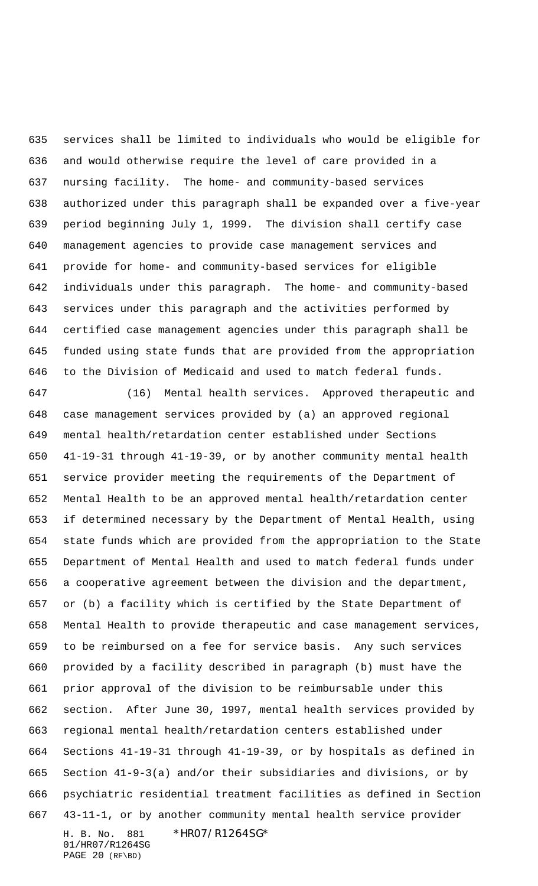services shall be limited to individuals who would be eligible for and would otherwise require the level of care provided in a nursing facility. The home- and community-based services authorized under this paragraph shall be expanded over a five-year period beginning July 1, 1999. The division shall certify case management agencies to provide case management services and provide for home- and community-based services for eligible individuals under this paragraph. The home- and community-based services under this paragraph and the activities performed by certified case management agencies under this paragraph shall be funded using state funds that are provided from the appropriation to the Division of Medicaid and used to match federal funds.

H. B. No. 881 \*HR07/R1264SG\* 01/HR07/R1264SG PAGE 20 (RF\BD) (16) Mental health services. Approved therapeutic and case management services provided by (a) an approved regional mental health/retardation center established under Sections 41-19-31 through 41-19-39, or by another community mental health service provider meeting the requirements of the Department of Mental Health to be an approved mental health/retardation center if determined necessary by the Department of Mental Health, using state funds which are provided from the appropriation to the State Department of Mental Health and used to match federal funds under a cooperative agreement between the division and the department, or (b) a facility which is certified by the State Department of Mental Health to provide therapeutic and case management services, to be reimbursed on a fee for service basis. Any such services provided by a facility described in paragraph (b) must have the prior approval of the division to be reimbursable under this section. After June 30, 1997, mental health services provided by regional mental health/retardation centers established under Sections 41-19-31 through 41-19-39, or by hospitals as defined in Section 41-9-3(a) and/or their subsidiaries and divisions, or by psychiatric residential treatment facilities as defined in Section 43-11-1, or by another community mental health service provider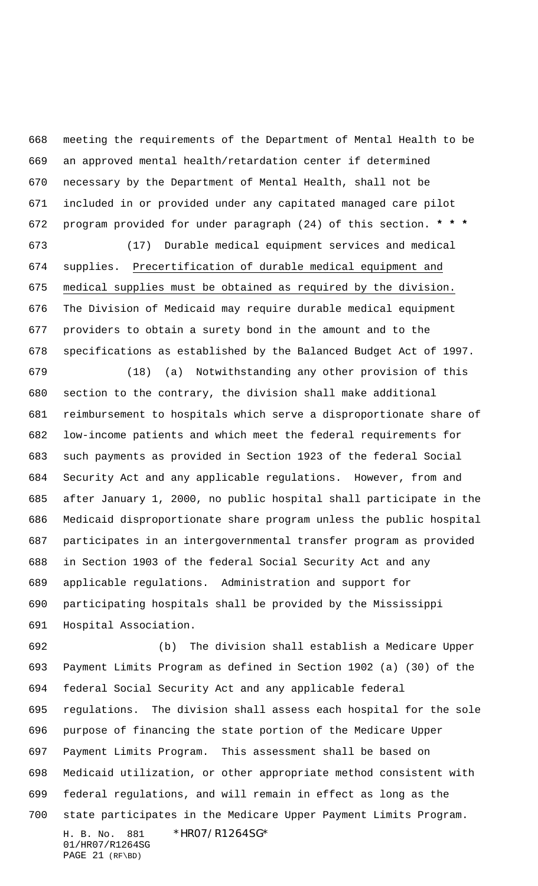meeting the requirements of the Department of Mental Health to be an approved mental health/retardation center if determined necessary by the Department of Mental Health, shall not be included in or provided under any capitated managed care pilot program provided for under paragraph (24) of this section. **\* \* \***

 (17) Durable medical equipment services and medical supplies. Precertification of durable medical equipment and medical supplies must be obtained as required by the division. The Division of Medicaid may require durable medical equipment providers to obtain a surety bond in the amount and to the specifications as established by the Balanced Budget Act of 1997.

 (18) (a) Notwithstanding any other provision of this section to the contrary, the division shall make additional reimbursement to hospitals which serve a disproportionate share of low-income patients and which meet the federal requirements for such payments as provided in Section 1923 of the federal Social Security Act and any applicable regulations. However, from and after January 1, 2000, no public hospital shall participate in the Medicaid disproportionate share program unless the public hospital participates in an intergovernmental transfer program as provided in Section 1903 of the federal Social Security Act and any applicable regulations. Administration and support for participating hospitals shall be provided by the Mississippi Hospital Association.

H. B. No. 881 \*HR07/R1264SG\* 01/HR07/R1264SG PAGE 21 (RF\BD) (b) The division shall establish a Medicare Upper Payment Limits Program as defined in Section 1902 (a) (30) of the federal Social Security Act and any applicable federal regulations. The division shall assess each hospital for the sole purpose of financing the state portion of the Medicare Upper Payment Limits Program. This assessment shall be based on Medicaid utilization, or other appropriate method consistent with federal regulations, and will remain in effect as long as the state participates in the Medicare Upper Payment Limits Program.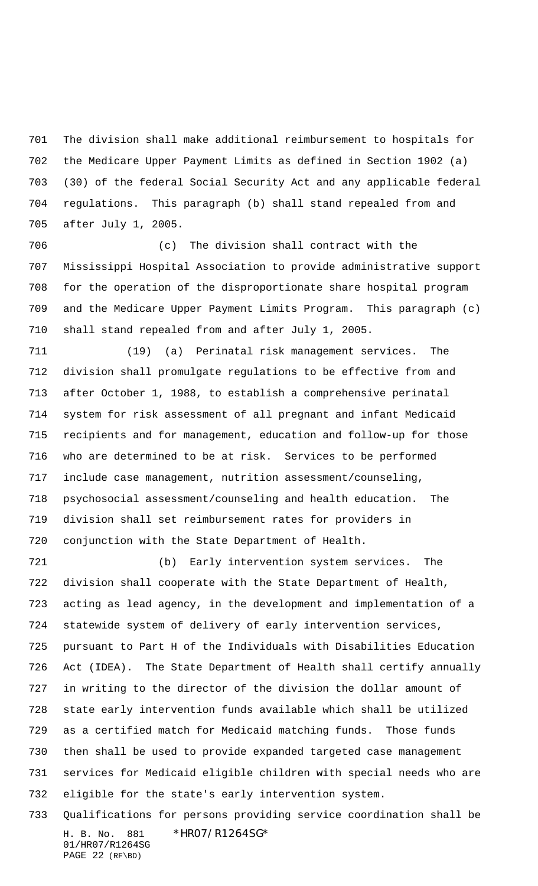The division shall make additional reimbursement to hospitals for the Medicare Upper Payment Limits as defined in Section 1902 (a) (30) of the federal Social Security Act and any applicable federal regulations. This paragraph (b) shall stand repealed from and after July 1, 2005.

 (c) The division shall contract with the Mississippi Hospital Association to provide administrative support for the operation of the disproportionate share hospital program and the Medicare Upper Payment Limits Program. This paragraph (c) shall stand repealed from and after July 1, 2005.

 (19) (a) Perinatal risk management services. The division shall promulgate regulations to be effective from and after October 1, 1988, to establish a comprehensive perinatal system for risk assessment of all pregnant and infant Medicaid recipients and for management, education and follow-up for those who are determined to be at risk. Services to be performed include case management, nutrition assessment/counseling, psychosocial assessment/counseling and health education. The division shall set reimbursement rates for providers in conjunction with the State Department of Health.

 (b) Early intervention system services. The division shall cooperate with the State Department of Health, acting as lead agency, in the development and implementation of a statewide system of delivery of early intervention services, pursuant to Part H of the Individuals with Disabilities Education Act (IDEA). The State Department of Health shall certify annually in writing to the director of the division the dollar amount of state early intervention funds available which shall be utilized as a certified match for Medicaid matching funds. Those funds then shall be used to provide expanded targeted case management services for Medicaid eligible children with special needs who are eligible for the state's early intervention system.

H. B. No. 881 \*HR07/R1264SG\* 01/HR07/R1264SG PAGE 22 (RF\BD) Qualifications for persons providing service coordination shall be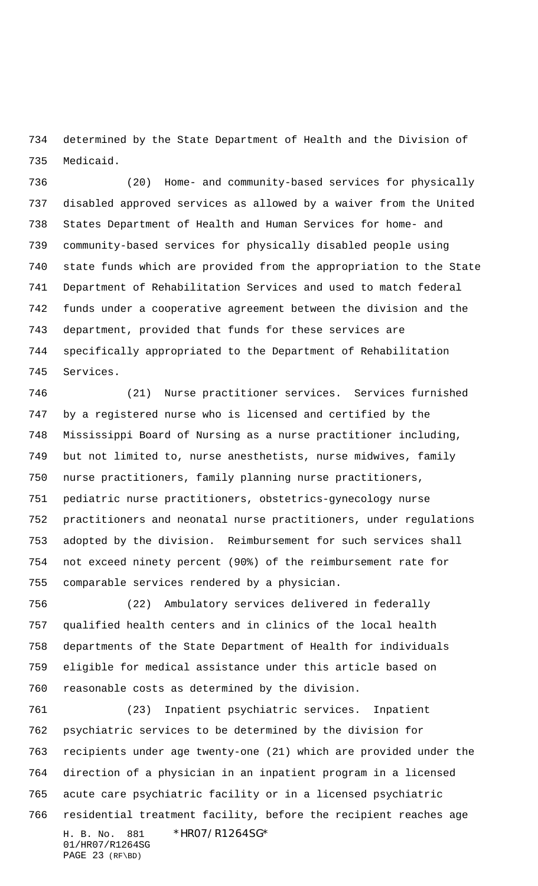determined by the State Department of Health and the Division of Medicaid.

 (20) Home- and community-based services for physically disabled approved services as allowed by a waiver from the United States Department of Health and Human Services for home- and community-based services for physically disabled people using state funds which are provided from the appropriation to the State Department of Rehabilitation Services and used to match federal funds under a cooperative agreement between the division and the department, provided that funds for these services are specifically appropriated to the Department of Rehabilitation Services.

 (21) Nurse practitioner services. Services furnished by a registered nurse who is licensed and certified by the Mississippi Board of Nursing as a nurse practitioner including, but not limited to, nurse anesthetists, nurse midwives, family nurse practitioners, family planning nurse practitioners, pediatric nurse practitioners, obstetrics-gynecology nurse practitioners and neonatal nurse practitioners, under regulations adopted by the division. Reimbursement for such services shall not exceed ninety percent (90%) of the reimbursement rate for comparable services rendered by a physician.

 (22) Ambulatory services delivered in federally qualified health centers and in clinics of the local health departments of the State Department of Health for individuals eligible for medical assistance under this article based on reasonable costs as determined by the division.

H. B. No. 881 \*HR07/R1264SG\* 01/HR07/R1264SG PAGE 23 (RF\BD) (23) Inpatient psychiatric services. Inpatient psychiatric services to be determined by the division for recipients under age twenty-one (21) which are provided under the direction of a physician in an inpatient program in a licensed acute care psychiatric facility or in a licensed psychiatric residential treatment facility, before the recipient reaches age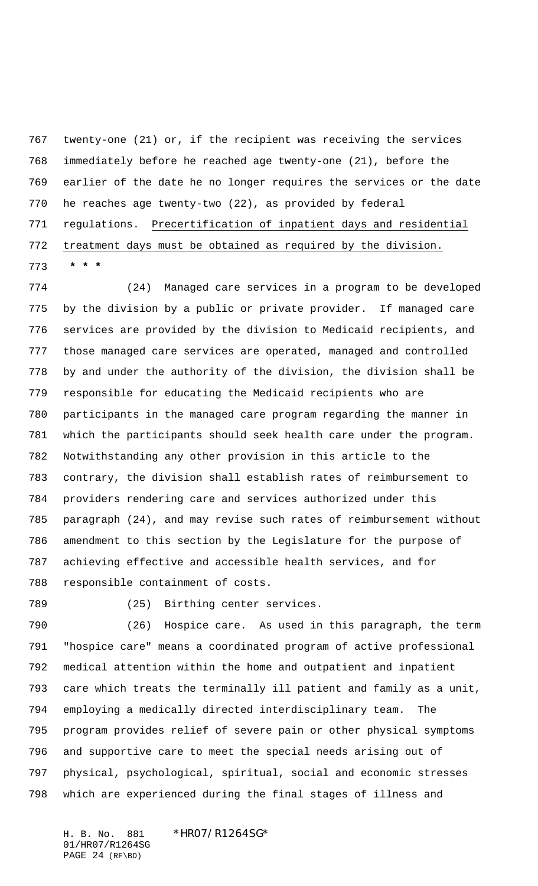twenty-one (21) or, if the recipient was receiving the services immediately before he reached age twenty-one (21), before the earlier of the date he no longer requires the services or the date he reaches age twenty-two (22), as provided by federal regulations. Precertification of inpatient days and residential treatment days must be obtained as required by the division.  **\* \* \***

 (24) Managed care services in a program to be developed by the division by a public or private provider. If managed care services are provided by the division to Medicaid recipients, and those managed care services are operated, managed and controlled by and under the authority of the division, the division shall be responsible for educating the Medicaid recipients who are participants in the managed care program regarding the manner in which the participants should seek health care under the program. Notwithstanding any other provision in this article to the contrary, the division shall establish rates of reimbursement to providers rendering care and services authorized under this paragraph (24), and may revise such rates of reimbursement without amendment to this section by the Legislature for the purpose of achieving effective and accessible health services, and for responsible containment of costs.

(25) Birthing center services.

 (26) Hospice care. As used in this paragraph, the term "hospice care" means a coordinated program of active professional medical attention within the home and outpatient and inpatient care which treats the terminally ill patient and family as a unit, employing a medically directed interdisciplinary team. The program provides relief of severe pain or other physical symptoms and supportive care to meet the special needs arising out of physical, psychological, spiritual, social and economic stresses which are experienced during the final stages of illness and

H. B. No. 881 \*HR07/R1264SG\* 01/HR07/R1264SG PAGE 24 (RF\BD)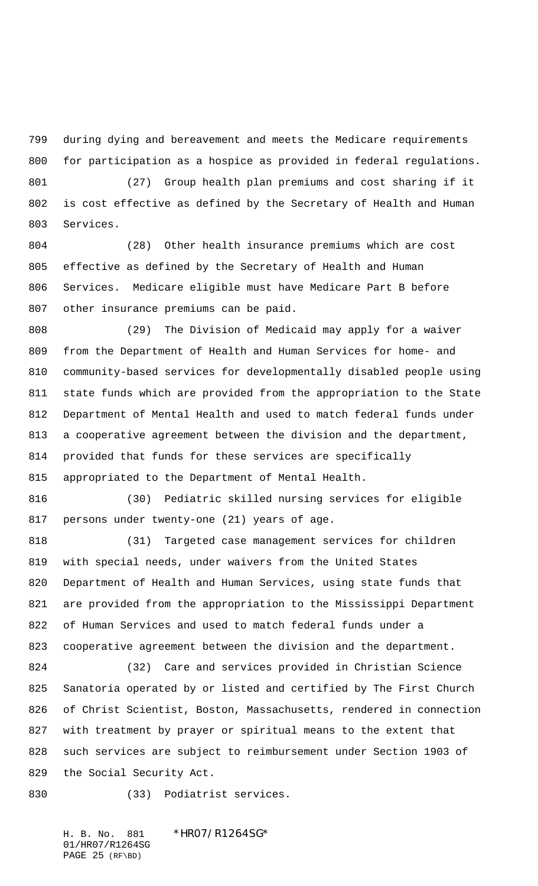during dying and bereavement and meets the Medicare requirements for participation as a hospice as provided in federal regulations.

 (27) Group health plan premiums and cost sharing if it is cost effective as defined by the Secretary of Health and Human Services.

 (28) Other health insurance premiums which are cost effective as defined by the Secretary of Health and Human Services. Medicare eligible must have Medicare Part B before other insurance premiums can be paid.

 (29) The Division of Medicaid may apply for a waiver from the Department of Health and Human Services for home- and community-based services for developmentally disabled people using state funds which are provided from the appropriation to the State Department of Mental Health and used to match federal funds under a cooperative agreement between the division and the department, provided that funds for these services are specifically appropriated to the Department of Mental Health.

 (30) Pediatric skilled nursing services for eligible persons under twenty-one (21) years of age.

 (31) Targeted case management services for children with special needs, under waivers from the United States Department of Health and Human Services, using state funds that are provided from the appropriation to the Mississippi Department of Human Services and used to match federal funds under a cooperative agreement between the division and the department.

 (32) Care and services provided in Christian Science Sanatoria operated by or listed and certified by The First Church of Christ Scientist, Boston, Massachusetts, rendered in connection with treatment by prayer or spiritual means to the extent that such services are subject to reimbursement under Section 1903 of the Social Security Act.

(33) Podiatrist services.

H. B. No. 881 \*HR07/R1264SG\* 01/HR07/R1264SG PAGE 25 (RF\BD)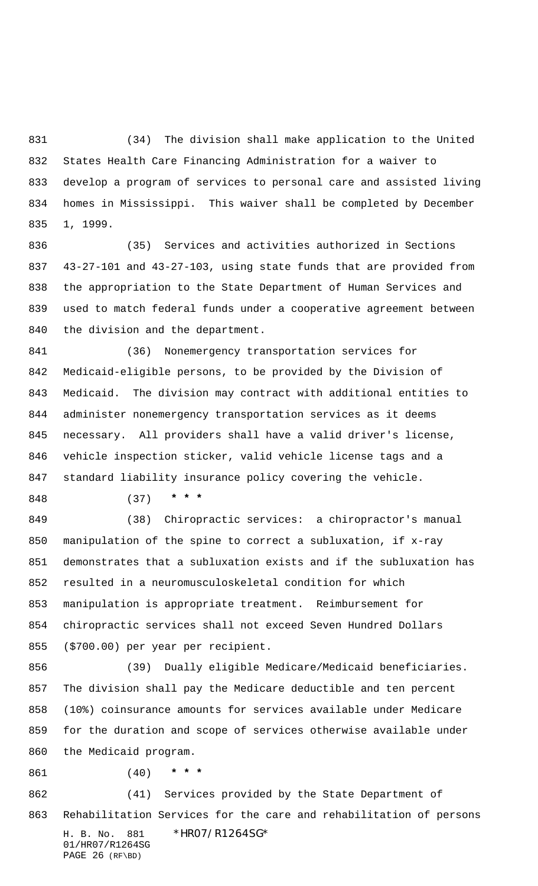(34) The division shall make application to the United States Health Care Financing Administration for a waiver to develop a program of services to personal care and assisted living homes in Mississippi. This waiver shall be completed by December 1, 1999.

 (35) Services and activities authorized in Sections 43-27-101 and 43-27-103, using state funds that are provided from the appropriation to the State Department of Human Services and used to match federal funds under a cooperative agreement between the division and the department.

 (36) Nonemergency transportation services for Medicaid-eligible persons, to be provided by the Division of Medicaid. The division may contract with additional entities to administer nonemergency transportation services as it deems necessary. All providers shall have a valid driver's license, vehicle inspection sticker, valid vehicle license tags and a standard liability insurance policy covering the vehicle.

(37) **\* \* \***

 (38) Chiropractic services: a chiropractor's manual manipulation of the spine to correct a subluxation, if x-ray demonstrates that a subluxation exists and if the subluxation has resulted in a neuromusculoskeletal condition for which manipulation is appropriate treatment. Reimbursement for chiropractic services shall not exceed Seven Hundred Dollars (\$700.00) per year per recipient.

 (39) Dually eligible Medicare/Medicaid beneficiaries. The division shall pay the Medicare deductible and ten percent (10%) coinsurance amounts for services available under Medicare for the duration and scope of services otherwise available under the Medicaid program.

(40) **\* \* \***

H. B. No. 881 \*HR07/R1264SG\* 01/HR07/R1264SG PAGE 26 (RF\BD) (41) Services provided by the State Department of Rehabilitation Services for the care and rehabilitation of persons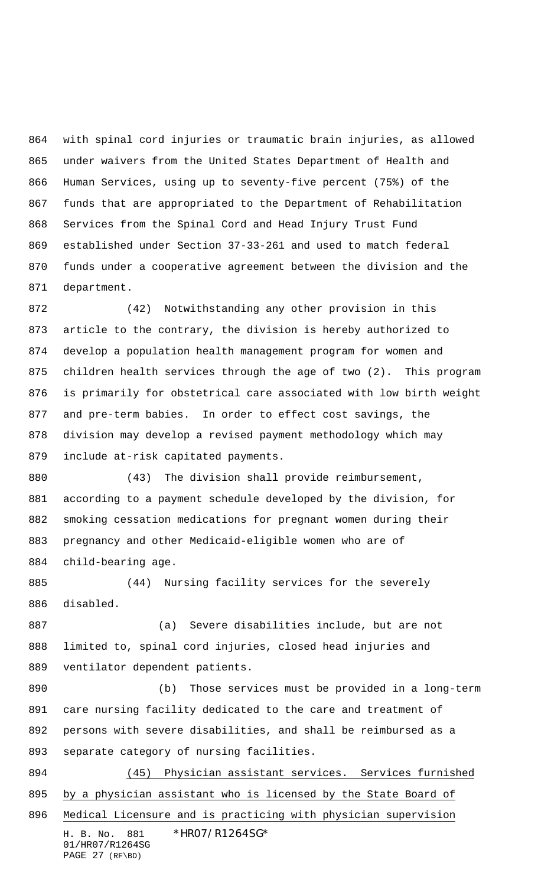with spinal cord injuries or traumatic brain injuries, as allowed under waivers from the United States Department of Health and Human Services, using up to seventy-five percent (75%) of the funds that are appropriated to the Department of Rehabilitation Services from the Spinal Cord and Head Injury Trust Fund established under Section 37-33-261 and used to match federal funds under a cooperative agreement between the division and the department.

 (42) Notwithstanding any other provision in this article to the contrary, the division is hereby authorized to develop a population health management program for women and children health services through the age of two (2). This program is primarily for obstetrical care associated with low birth weight and pre-term babies. In order to effect cost savings, the division may develop a revised payment methodology which may include at-risk capitated payments.

 (43) The division shall provide reimbursement, according to a payment schedule developed by the division, for smoking cessation medications for pregnant women during their pregnancy and other Medicaid-eligible women who are of child-bearing age.

 (44) Nursing facility services for the severely disabled.

 (a) Severe disabilities include, but are not limited to, spinal cord injuries, closed head injuries and ventilator dependent patients.

 (b) Those services must be provided in a long-term care nursing facility dedicated to the care and treatment of persons with severe disabilities, and shall be reimbursed as a separate category of nursing facilities.

H. B. No. 881 \*HR07/R1264SG\* 01/HR07/R1264SG PAGE 27 (RF\BD) (45) Physician assistant services. Services furnished by a physician assistant who is licensed by the State Board of Medical Licensure and is practicing with physician supervision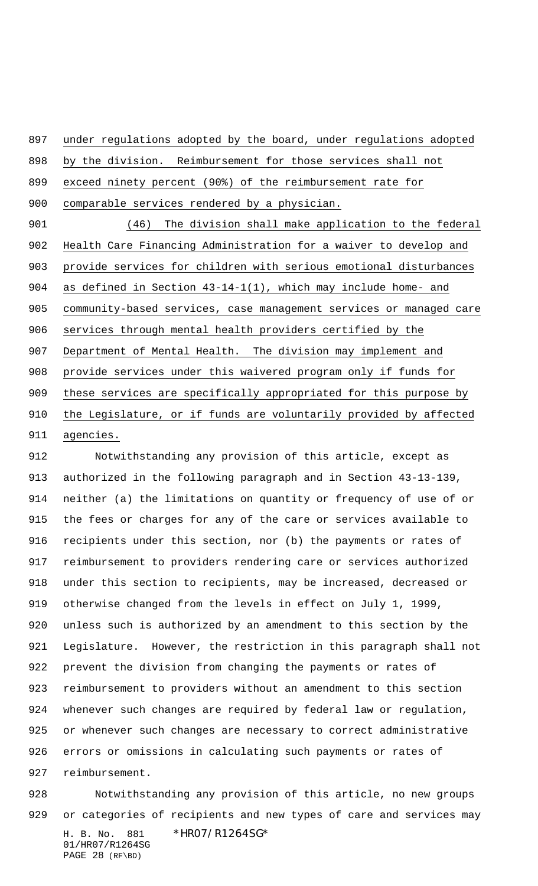under regulations adopted by the board, under regulations adopted

by the division. Reimbursement for those services shall not

exceed ninety percent (90%) of the reimbursement rate for

comparable services rendered by a physician.

 (46) The division shall make application to the federal Health Care Financing Administration for a waiver to develop and provide services for children with serious emotional disturbances as defined in Section 43-14-1(1), which may include home- and community-based services, case management services or managed care services through mental health providers certified by the Department of Mental Health. The division may implement and provide services under this waivered program only if funds for these services are specifically appropriated for this purpose by the Legislature, or if funds are voluntarily provided by affected agencies.

 Notwithstanding any provision of this article, except as authorized in the following paragraph and in Section 43-13-139, neither (a) the limitations on quantity or frequency of use of or the fees or charges for any of the care or services available to recipients under this section, nor (b) the payments or rates of reimbursement to providers rendering care or services authorized under this section to recipients, may be increased, decreased or otherwise changed from the levels in effect on July 1, 1999, unless such is authorized by an amendment to this section by the Legislature. However, the restriction in this paragraph shall not prevent the division from changing the payments or rates of reimbursement to providers without an amendment to this section whenever such changes are required by federal law or regulation, or whenever such changes are necessary to correct administrative errors or omissions in calculating such payments or rates of reimbursement.

H. B. No. 881 \*HR07/R1264SG\* 01/HR07/R1264SG Notwithstanding any provision of this article, no new groups or categories of recipients and new types of care and services may

PAGE 28 (RF\BD)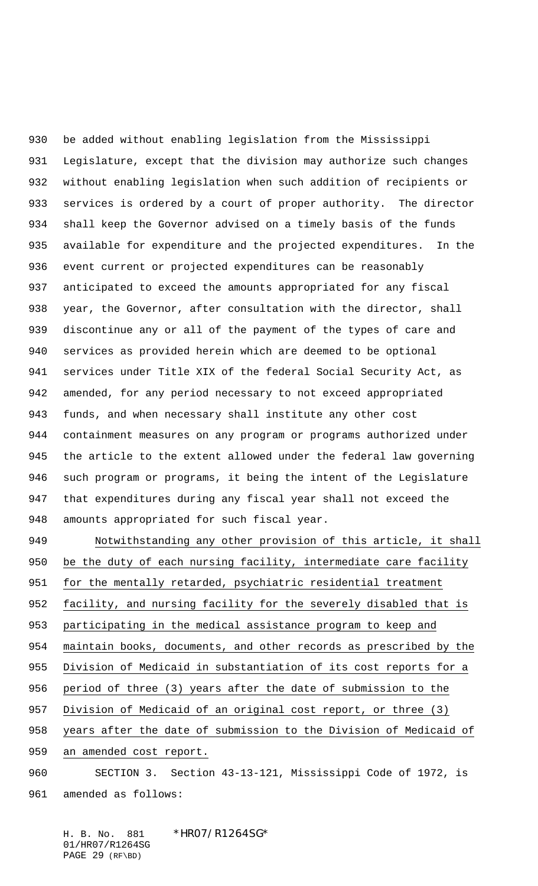be added without enabling legislation from the Mississippi Legislature, except that the division may authorize such changes without enabling legislation when such addition of recipients or services is ordered by a court of proper authority. The director shall keep the Governor advised on a timely basis of the funds available for expenditure and the projected expenditures. In the event current or projected expenditures can be reasonably anticipated to exceed the amounts appropriated for any fiscal year, the Governor, after consultation with the director, shall discontinue any or all of the payment of the types of care and services as provided herein which are deemed to be optional services under Title XIX of the federal Social Security Act, as amended, for any period necessary to not exceed appropriated funds, and when necessary shall institute any other cost containment measures on any program or programs authorized under the article to the extent allowed under the federal law governing such program or programs, it being the intent of the Legislature that expenditures during any fiscal year shall not exceed the amounts appropriated for such fiscal year.

 Notwithstanding any other provision of this article, it shall be the duty of each nursing facility, intermediate care facility for the mentally retarded, psychiatric residential treatment facility, and nursing facility for the severely disabled that is participating in the medical assistance program to keep and maintain books, documents, and other records as prescribed by the Division of Medicaid in substantiation of its cost reports for a period of three (3) years after the date of submission to the 957 Division of Medicaid of an original cost report, or three (3) years after the date of submission to the Division of Medicaid of an amended cost report. SECTION 3. Section 43-13-121, Mississippi Code of 1972, is

amended as follows:

H. B. No. 881 \*HR07/R1264SG\* 01/HR07/R1264SG PAGE 29 (RF\BD)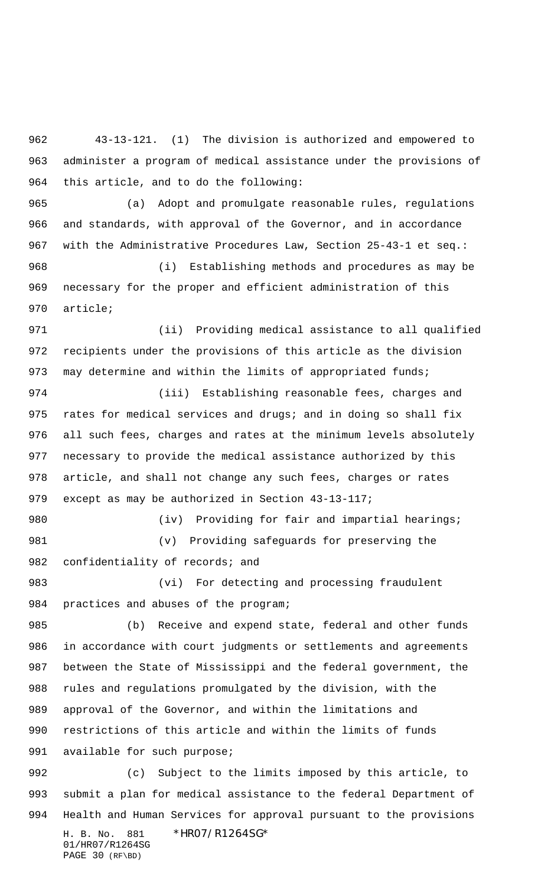43-13-121. (1) The division is authorized and empowered to administer a program of medical assistance under the provisions of this article, and to do the following:

 (a) Adopt and promulgate reasonable rules, regulations and standards, with approval of the Governor, and in accordance with the Administrative Procedures Law, Section 25-43-1 et seq.: (i) Establishing methods and procedures as may be necessary for the proper and efficient administration of this

article;

 (ii) Providing medical assistance to all qualified recipients under the provisions of this article as the division 973 may determine and within the limits of appropriated funds;

 (iii) Establishing reasonable fees, charges and 975 rates for medical services and drugs; and in doing so shall fix all such fees, charges and rates at the minimum levels absolutely necessary to provide the medical assistance authorized by this article, and shall not change any such fees, charges or rates except as may be authorized in Section 43-13-117;

980 (iv) Providing for fair and impartial hearings; (v) Providing safeguards for preserving the 982 confidentiality of records; and

983 (vi) For detecting and processing fraudulent practices and abuses of the program;

 (b) Receive and expend state, federal and other funds in accordance with court judgments or settlements and agreements between the State of Mississippi and the federal government, the rules and regulations promulgated by the division, with the approval of the Governor, and within the limitations and restrictions of this article and within the limits of funds 991 available for such purpose;

H. B. No. 881 \*HR07/R1264SG\* 01/HR07/R1264SG PAGE 30 (RF\BD) (c) Subject to the limits imposed by this article, to submit a plan for medical assistance to the federal Department of Health and Human Services for approval pursuant to the provisions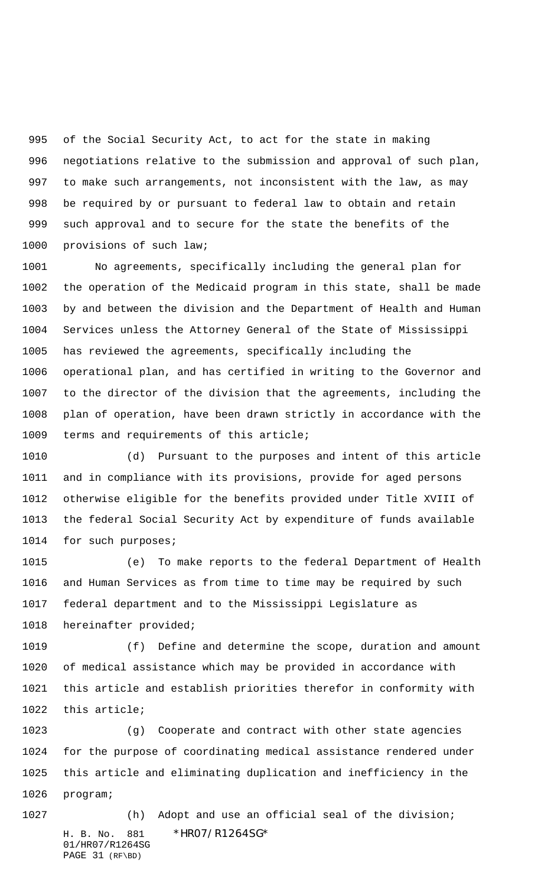of the Social Security Act, to act for the state in making negotiations relative to the submission and approval of such plan, to make such arrangements, not inconsistent with the law, as may be required by or pursuant to federal law to obtain and retain such approval and to secure for the state the benefits of the 1000 provisions of such law;

 No agreements, specifically including the general plan for the operation of the Medicaid program in this state, shall be made by and between the division and the Department of Health and Human Services unless the Attorney General of the State of Mississippi has reviewed the agreements, specifically including the operational plan, and has certified in writing to the Governor and to the director of the division that the agreements, including the plan of operation, have been drawn strictly in accordance with the terms and requirements of this article;

 (d) Pursuant to the purposes and intent of this article and in compliance with its provisions, provide for aged persons otherwise eligible for the benefits provided under Title XVIII of the federal Social Security Act by expenditure of funds available for such purposes;

 (e) To make reports to the federal Department of Health and Human Services as from time to time may be required by such federal department and to the Mississippi Legislature as hereinafter provided;

 (f) Define and determine the scope, duration and amount of medical assistance which may be provided in accordance with this article and establish priorities therefor in conformity with this article;

 (g) Cooperate and contract with other state agencies for the purpose of coordinating medical assistance rendered under this article and eliminating duplication and inefficiency in the program;

01/HR07/R1264SG PAGE 31 (RF\BD)

H. B. No. 881 \*HR07/R1264SG\* (h) Adopt and use an official seal of the division;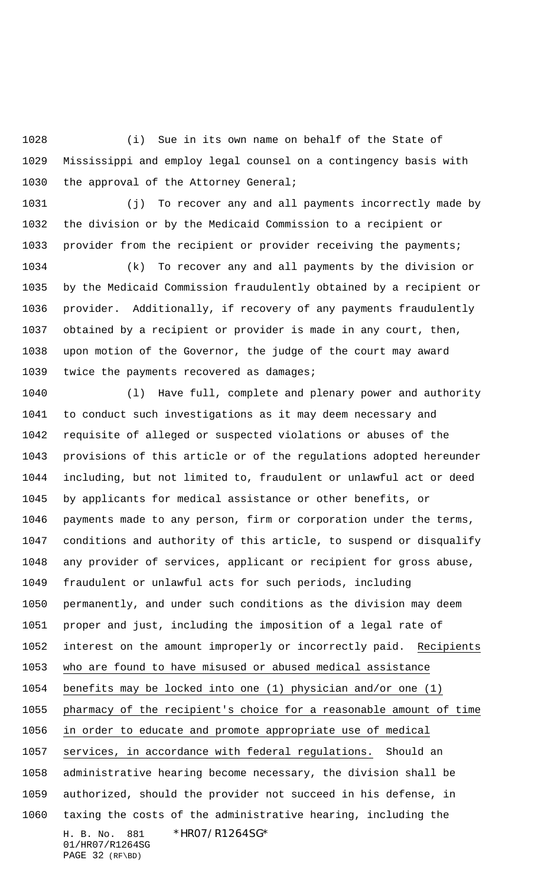(i) Sue in its own name on behalf of the State of Mississippi and employ legal counsel on a contingency basis with 1030 the approval of the Attorney General;

 (j) To recover any and all payments incorrectly made by the division or by the Medicaid Commission to a recipient or 1033 provider from the recipient or provider receiving the payments;

 (k) To recover any and all payments by the division or by the Medicaid Commission fraudulently obtained by a recipient or provider. Additionally, if recovery of any payments fraudulently obtained by a recipient or provider is made in any court, then, upon motion of the Governor, the judge of the court may award 1039 twice the payments recovered as damages;

H. B. No. 881 \*HR07/R1264SG\* 01/HR07/R1264SG PAGE 32 (RF\BD) (l) Have full, complete and plenary power and authority to conduct such investigations as it may deem necessary and requisite of alleged or suspected violations or abuses of the provisions of this article or of the regulations adopted hereunder including, but not limited to, fraudulent or unlawful act or deed by applicants for medical assistance or other benefits, or payments made to any person, firm or corporation under the terms, conditions and authority of this article, to suspend or disqualify any provider of services, applicant or recipient for gross abuse, fraudulent or unlawful acts for such periods, including permanently, and under such conditions as the division may deem proper and just, including the imposition of a legal rate of interest on the amount improperly or incorrectly paid. Recipients who are found to have misused or abused medical assistance benefits may be locked into one (1) physician and/or one (1) pharmacy of the recipient's choice for a reasonable amount of time in order to educate and promote appropriate use of medical services, in accordance with federal regulations. Should an administrative hearing become necessary, the division shall be authorized, should the provider not succeed in his defense, in taxing the costs of the administrative hearing, including the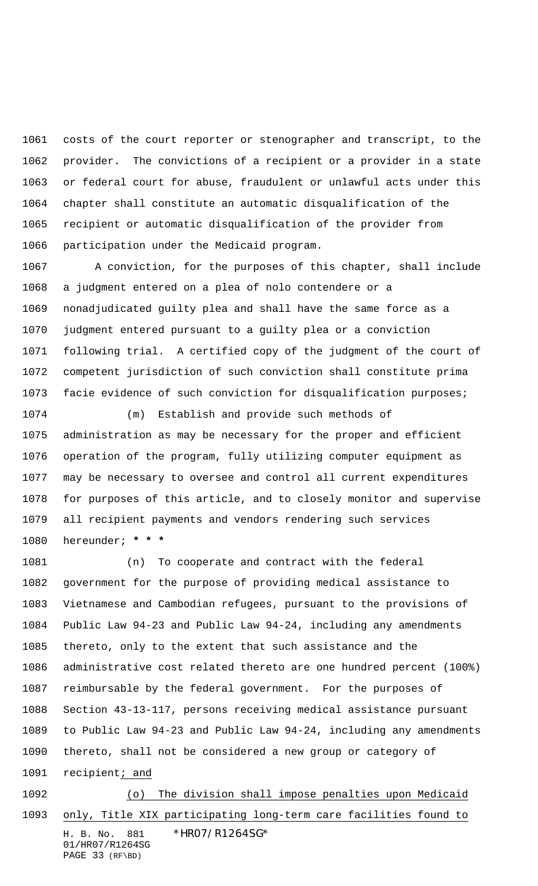costs of the court reporter or stenographer and transcript, to the provider. The convictions of a recipient or a provider in a state or federal court for abuse, fraudulent or unlawful acts under this chapter shall constitute an automatic disqualification of the recipient or automatic disqualification of the provider from participation under the Medicaid program.

 A conviction, for the purposes of this chapter, shall include a judgment entered on a plea of nolo contendere or a nonadjudicated guilty plea and shall have the same force as a judgment entered pursuant to a guilty plea or a conviction following trial. A certified copy of the judgment of the court of competent jurisdiction of such conviction shall constitute prima facie evidence of such conviction for disqualification purposes;

 (m) Establish and provide such methods of administration as may be necessary for the proper and efficient operation of the program, fully utilizing computer equipment as may be necessary to oversee and control all current expenditures for purposes of this article, and to closely monitor and supervise all recipient payments and vendors rendering such services hereunder; **\* \* \***

 (n) To cooperate and contract with the federal government for the purpose of providing medical assistance to Vietnamese and Cambodian refugees, pursuant to the provisions of Public Law 94-23 and Public Law 94-24, including any amendments thereto, only to the extent that such assistance and the administrative cost related thereto are one hundred percent (100%) reimbursable by the federal government. For the purposes of Section 43-13-117, persons receiving medical assistance pursuant to Public Law 94-23 and Public Law 94-24, including any amendments thereto, shall not be considered a new group or category of 1091 recipient; and

H. B. No. 881 \*HR07/R1264SG\* 01/HR07/R1264SG PAGE 33 (RF\BD) (o) The division shall impose penalties upon Medicaid only, Title XIX participating long-term care facilities found to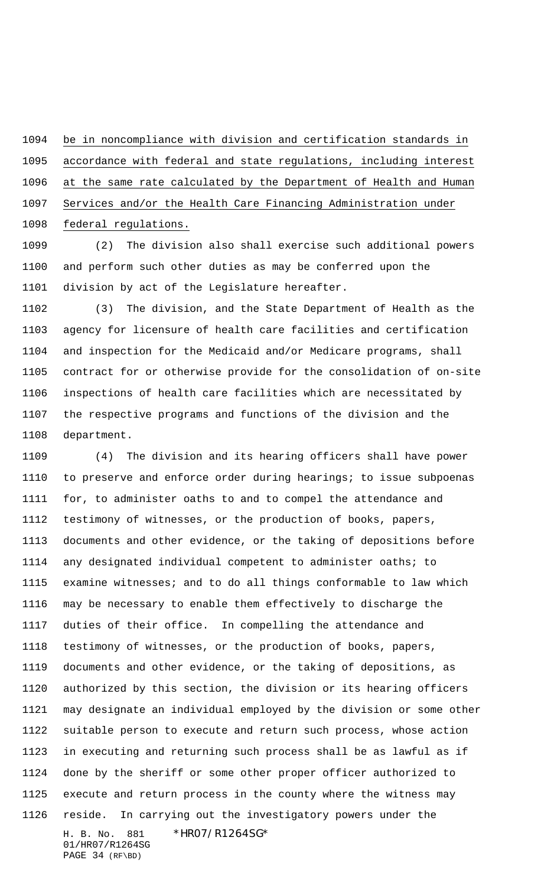be in noncompliance with division and certification standards in accordance with federal and state regulations, including interest at the same rate calculated by the Department of Health and Human Services and/or the Health Care Financing Administration under federal regulations.

 (2) The division also shall exercise such additional powers and perform such other duties as may be conferred upon the division by act of the Legislature hereafter.

 (3) The division, and the State Department of Health as the agency for licensure of health care facilities and certification and inspection for the Medicaid and/or Medicare programs, shall contract for or otherwise provide for the consolidation of on-site inspections of health care facilities which are necessitated by the respective programs and functions of the division and the department.

H. B. No. 881 \*HR07/R1264SG\* 01/HR07/R1264SG (4) The division and its hearing officers shall have power to preserve and enforce order during hearings; to issue subpoenas for, to administer oaths to and to compel the attendance and testimony of witnesses, or the production of books, papers, documents and other evidence, or the taking of depositions before any designated individual competent to administer oaths; to examine witnesses; and to do all things conformable to law which may be necessary to enable them effectively to discharge the duties of their office. In compelling the attendance and testimony of witnesses, or the production of books, papers, documents and other evidence, or the taking of depositions, as authorized by this section, the division or its hearing officers may designate an individual employed by the division or some other suitable person to execute and return such process, whose action in executing and returning such process shall be as lawful as if done by the sheriff or some other proper officer authorized to execute and return process in the county where the witness may reside. In carrying out the investigatory powers under the

PAGE 34 (RF\BD)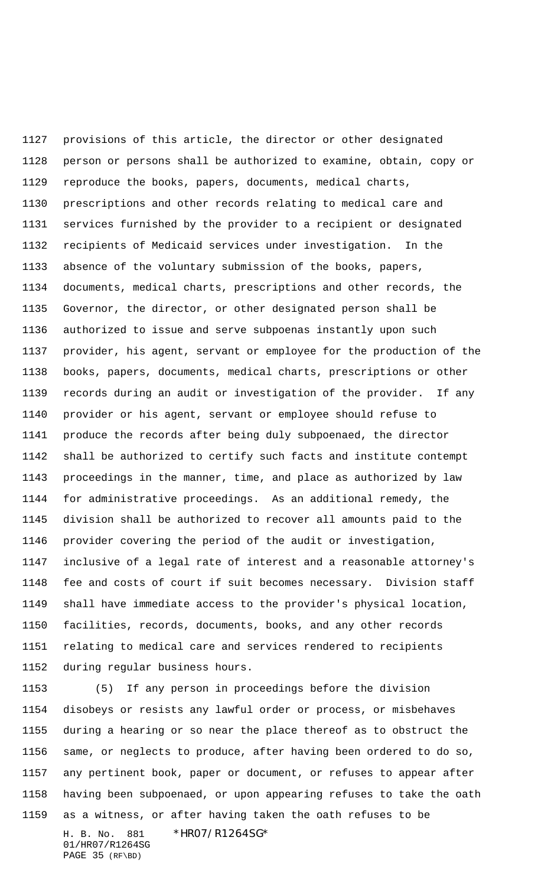provisions of this article, the director or other designated person or persons shall be authorized to examine, obtain, copy or reproduce the books, papers, documents, medical charts, prescriptions and other records relating to medical care and services furnished by the provider to a recipient or designated recipients of Medicaid services under investigation. In the absence of the voluntary submission of the books, papers, documents, medical charts, prescriptions and other records, the Governor, the director, or other designated person shall be authorized to issue and serve subpoenas instantly upon such provider, his agent, servant or employee for the production of the books, papers, documents, medical charts, prescriptions or other records during an audit or investigation of the provider. If any provider or his agent, servant or employee should refuse to produce the records after being duly subpoenaed, the director shall be authorized to certify such facts and institute contempt proceedings in the manner, time, and place as authorized by law for administrative proceedings. As an additional remedy, the division shall be authorized to recover all amounts paid to the provider covering the period of the audit or investigation, inclusive of a legal rate of interest and a reasonable attorney's fee and costs of court if suit becomes necessary. Division staff shall have immediate access to the provider's physical location, facilities, records, documents, books, and any other records relating to medical care and services rendered to recipients during regular business hours.

H. B. No. 881 \*HR07/R1264SG\* (5) If any person in proceedings before the division disobeys or resists any lawful order or process, or misbehaves during a hearing or so near the place thereof as to obstruct the same, or neglects to produce, after having been ordered to do so, any pertinent book, paper or document, or refuses to appear after having been subpoenaed, or upon appearing refuses to take the oath as a witness, or after having taken the oath refuses to be

01/HR07/R1264SG PAGE 35 (RF\BD)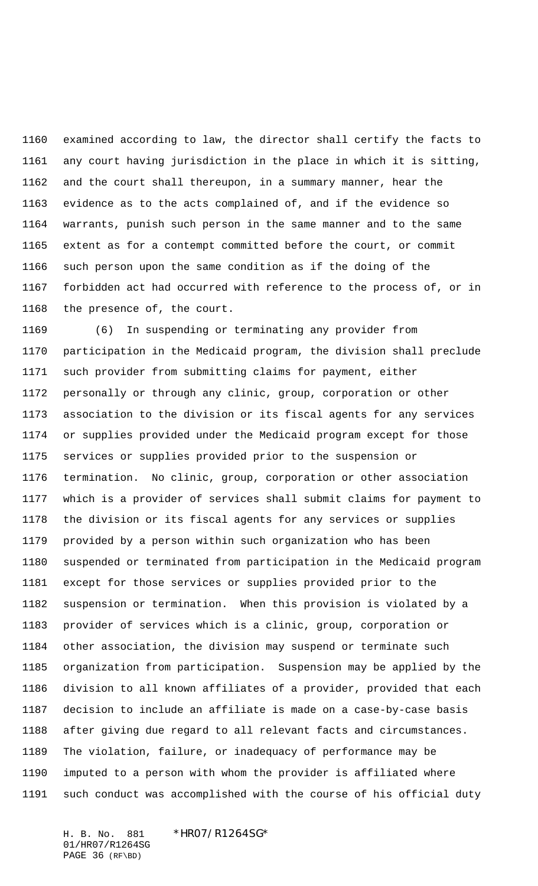examined according to law, the director shall certify the facts to any court having jurisdiction in the place in which it is sitting, and the court shall thereupon, in a summary manner, hear the evidence as to the acts complained of, and if the evidence so warrants, punish such person in the same manner and to the same extent as for a contempt committed before the court, or commit such person upon the same condition as if the doing of the forbidden act had occurred with reference to the process of, or in the presence of, the court.

 (6) In suspending or terminating any provider from participation in the Medicaid program, the division shall preclude such provider from submitting claims for payment, either personally or through any clinic, group, corporation or other association to the division or its fiscal agents for any services or supplies provided under the Medicaid program except for those services or supplies provided prior to the suspension or termination. No clinic, group, corporation or other association which is a provider of services shall submit claims for payment to the division or its fiscal agents for any services or supplies provided by a person within such organization who has been suspended or terminated from participation in the Medicaid program except for those services or supplies provided prior to the suspension or termination. When this provision is violated by a provider of services which is a clinic, group, corporation or other association, the division may suspend or terminate such organization from participation. Suspension may be applied by the division to all known affiliates of a provider, provided that each decision to include an affiliate is made on a case-by-case basis after giving due regard to all relevant facts and circumstances. The violation, failure, or inadequacy of performance may be imputed to a person with whom the provider is affiliated where such conduct was accomplished with the course of his official duty

H. B. No. 881 \*HR07/R1264SG\* 01/HR07/R1264SG PAGE 36 (RF\BD)